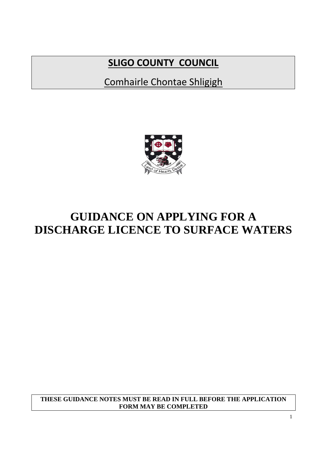# **SLIGO COUNTY COUNCIL**

Comhairle Chontae Shligigh



# **GUIDANCE ON APPLYING FOR A DISCHARGE LICENCE TO SURFACE WATERS**

**THESE GUIDANCE NOTES MUST BE READ IN FULL BEFORE THE APPLICATION FORM MAY BE COMPLETED**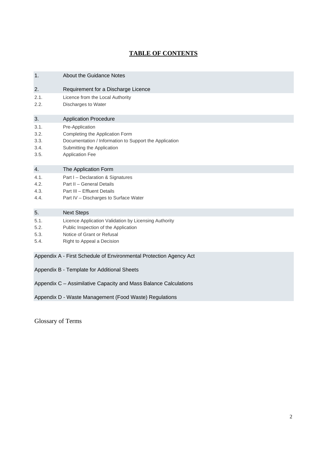# **TABLE OF CONTENTS**

| 1.                                          | <b>About the Guidance Notes</b>                                                                                                                                      |  |
|---------------------------------------------|----------------------------------------------------------------------------------------------------------------------------------------------------------------------|--|
| 2.                                          | Requirement for a Discharge Licence                                                                                                                                  |  |
| 2.1.<br>2.2.                                | Licence from the Local Authority<br>Discharges to Water                                                                                                              |  |
| 3.                                          | <b>Application Procedure</b>                                                                                                                                         |  |
| 3.1.<br>3.2.<br>3.3.<br>3.4.<br>3.5.        | Pre-Application<br>Completing the Application Form<br>Documentation / Information to Support the Application<br>Submitting the Application<br><b>Application Fee</b> |  |
| 4.                                          | The Application Form                                                                                                                                                 |  |
| 4.1.<br>4.2.<br>4.3.<br>4.4.                | Part I - Declaration & Signatures<br>Part II - General Details<br>Part III - Effluent Details<br>Part IV - Discharges to Surface Water                               |  |
| 5.                                          | <b>Next Steps</b>                                                                                                                                                    |  |
| 5.1.<br>5.2.<br>5.3.<br>5.4.                | Licence Application Validation by Licensing Authority<br>Public Inspection of the Application<br>Notice of Grant or Refusal<br>Right to Appeal a Decision            |  |
|                                             | Appendix A - First Schedule of Environmental Protection Agency Act                                                                                                   |  |
| Appendix B - Template for Additional Sheets |                                                                                                                                                                      |  |
|                                             | Appendix C - Assimilative Capacity and Mass Balance Calculations                                                                                                     |  |

Appendix D - Waste Management (Food Waste) Regulations

Glossary of Terms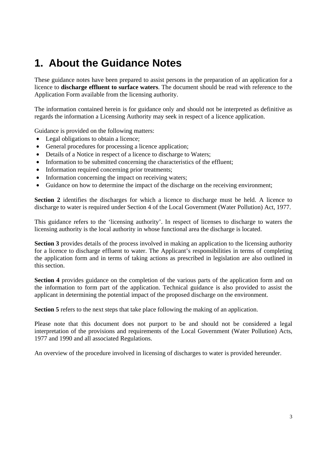# **1. About the Guidance Notes**

These guidance notes have been prepared to assist persons in the preparation of an application for a licence to **discharge effluent to surface waters**. The document should be read with reference to the Application Form available from the licensing authority.

The information contained herein is for guidance only and should not be interpreted as definitive as regards the information a Licensing Authority may seek in respect of a licence application.

Guidance is provided on the following matters:

- Legal obligations to obtain a licence;
- General procedures for processing a licence application;
- Details of a Notice in respect of a licence to discharge to Waters:
- Information to be submitted concerning the characteristics of the effluent;
- Information required concerning prior treatments:
- Information concerning the impact on receiving waters;
- Guidance on how to determine the impact of the discharge on the receiving environment;

**Section 2** identifies the discharges for which a licence to discharge must be held. A licence to discharge to water is required under Section 4 of the Local Government (Water Pollution) Act, 1977.

This guidance refers to the 'licensing authority'. In respect of licenses to discharge to waters the licensing authority is the local authority in whose functional area the discharge is located.

**Section 3** provides details of the process involved in making an application to the licensing authority for a licence to discharge effluent to water. The Applicant's responsibilities in terms of completing the application form and in terms of taking actions as prescribed in legislation are also outlined in this section.

**Section 4** provides guidance on the completion of the various parts of the application form and on the information to form part of the application. Technical guidance is also provided to assist the applicant in determining the potential impact of the proposed discharge on the environment.

**Section 5** refers to the next steps that take place following the making of an application.

Please note that this document does not purport to be and should not be considered a legal interpretation of the provisions and requirements of the Local Government (Water Pollution) Acts, 1977 and 1990 and all associated Regulations.

An overview of the procedure involved in licensing of discharges to water is provided hereunder.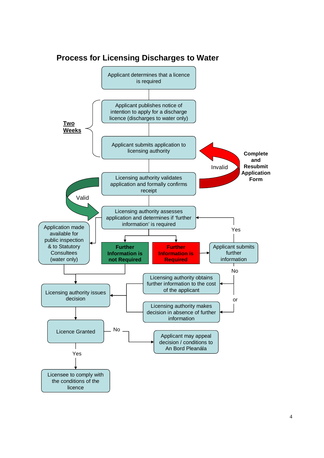

# **Process for Licensing Discharges to Water**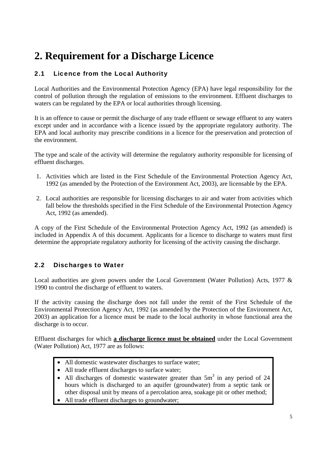# **2. Requirement for a Discharge Licence**

# 2.1 Licence from the Local Authority

Local Authorities and the Environmental Protection Agency (EPA) have legal responsibility for the control of pollution through the regulation of emissions to the environment. Effluent discharges to waters can be regulated by the EPA or local authorities through licensing.

It is an offence to cause or permit the discharge of any trade effluent or sewage effluent to any waters except under and in accordance with a licence issued by the appropriate regulatory authority. The EPA and local authority may prescribe conditions in a licence for the preservation and protection of the environment.

The type and scale of the activity will determine the regulatory authority responsible for licensing of effluent discharges.

- 1. Activities which are listed in the First Schedule of the Environmental Protection Agency Act, 1992 (as amended by the Protection of the Environment Act, 2003), are licensable by the EPA.
- 2. Local authorities are responsible for licensing discharges to air and water from activities which fall below the thresholds specified in the First Schedule of the Environmental Protection Agency Act, 1992 (as amended).

A copy of the First Schedule of the Environmental Protection Agency Act, 1992 (as amended) is included in Appendix A of this document. Applicants for a licence to discharge to waters must first determine the appropriate regulatory authority for licensing of the activity causing the discharge.

# 2.2 Discharges to Water

Local authorities are given powers under the Local Government (Water Pollution) Acts, 1977 & 1990 to control the discharge of effluent to waters.

If the activity causing the discharge does not fall under the remit of the First Schedule of the Environmental Protection Agency Act, 1992 (as amended by the Protection of the Environment Act, 2003) an application for a licence must be made to the local authority in whose functional area the discharge is to occur.

Effluent discharges for which **a discharge licence must be obtained** under the Local Government (Water Pollution) Act, 1977 are as follows:

- All domestic wastewater discharges to surface water;
- All trade effluent discharges to surface water;
- All discharges of domestic wastewater greater than  $5m<sup>3</sup>$  in any period of 24 hours which is discharged to an aquifer (groundwater) from a septic tank or other disposal unit by means of a percolation area, soakage pit or other method;
- All trade effluent discharges to groundwater;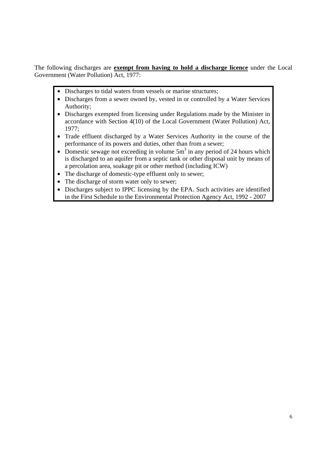The following discharges are **exempt from having to hold a discharge licence** under the Local Government (Water Pollution) Act, 1977:

- Discharges to tidal waters from vessels or marine structures;
- Discharges from a sewer owned by, vested in or controlled by a Water Services Authority;
- Discharges exempted from licensing under Regulations made by the Minister in accordance with Section 4(10) of the Local Government (Water Pollution) Act, 1977;
- Trade effluent discharged by a Water Services Authority in the course of the performance of its powers and duties, other than from a sewer;
- Domestic sewage not exceeding in volume  $5m<sup>3</sup>$  in any period of 24 hours which is discharged to an aquifer from a septic tank or other disposal unit by means of a percolation area, soakage pit or other method (including ICW)
- The discharge of domestic-type effluent only to sewer;
- The discharge of storm water only to sewer;
- Discharges subject to IPPC licensing by the EPA. Such activities are identified in the First Schedule to the Environmental Protection Agency Act, 1992 - 2007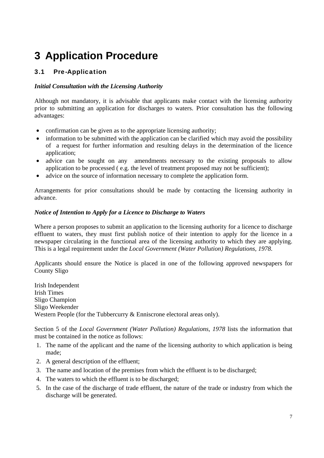# **3 Application Procedure**

# 3.1 Pre-Application

## *Initial Consultation with the Licensing Authority*

Although not mandatory, it is advisable that applicants make contact with the licensing authority prior to submitting an application for discharges to waters. Prior consultation has the following advantages:

- confirmation can be given as to the appropriate licensing authority;
- information to be submitted with the application can be clarified which may avoid the possibility of a request for further information and resulting delays in the determination of the licence application;
- advice can be sought on any amendments necessary to the existing proposals to allow application to be processed ( e.g. the level of treatment proposed may not be sufficient);
- advice on the source of information necessary to complete the application form.

Arrangements for prior consultations should be made by contacting the licensing authority in advance.

## *Notice of Intention to Apply for a Licence to Discharge to Waters*

Where a person proposes to submit an application to the licensing authority for a licence to discharge effluent to waters, they must first publish notice of their intention to apply for the licence in a newspaper circulating in the functional area of the licensing authority to which they are applying. This is a legal requirement under the *Local Government (Water Pollution) Regulations, 1978*.

Applicants should ensure the Notice is placed in one of the following approved newspapers for County Sligo

Irish Independent Irish Times Sligo Champion Sligo Weekender Western People (for the Tubbercurry & Enniscrone electoral areas only).

Section 5 of the *Local Government (Water Pollution) Regulations, 1978* lists the information that must be contained in the notice as follows:

- 1. The name of the applicant and the name of the licensing authority to which application is being made;
- 2. A general description of the effluent;
- 3. The name and location of the premises from which the effluent is to be discharged;
- 4. The waters to which the effluent is to be discharged;
- 5. In the case of the discharge of trade effluent, the nature of the trade or industry from which the discharge will be generated.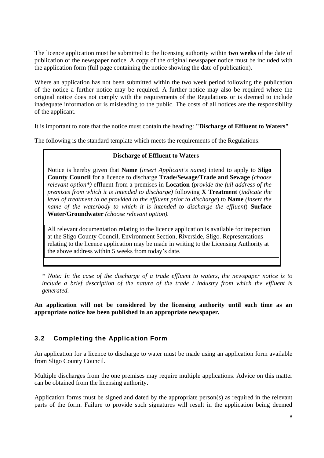The licence application must be submitted to the licensing authority within **two weeks** of the date of publication of the newspaper notice. A copy of the original newspaper notice must be included with the application form (full page containing the notice showing the date of publication).

Where an application has not been submitted within the two week period following the publication of the notice a further notice may be required. A further notice may also be required where the original notice does not comply with the requirements of the Regulations or is deemed to include inadequate information or is misleading to the public. The costs of all notices are the responsibility of the applicant.

It is important to note that the notice must contain the heading: **"Discharge of Effluent to Waters"** 

The following is the standard template which meets the requirements of the Regulations:

## **Discharge of Effluent to Waters**

Notice is hereby given that **Name** (*insert Applicant's name)* intend to apply to **Sligo County Council** for a licence to discharge **Trade/Sewage/Trade and Sewage** *(choose relevant option\*)* effluent from a premises in **Location** (*provide the full address of the premises from which it is intended to discharge)* following **X Treatment** (*indicate the level of treatment to be provided to the effluent prior to discharge*) to **Name** *(insert the name of the waterbody to which it is intended to discharge the effluent*) **Surface Water/Groundwater** *(choose relevant option).* 

All relevant documentation relating to the licence application is available for inspection at the Sligo County Council, Environment Section, Riverside, Sligo. Representations relating to the licence application may be made in writing to the Licensing Authority at the above address within 5 weeks from today's date.

*\* Note: In the case of the discharge of a trade effluent to waters, the newspaper notice is to include a brief description of the nature of the trade / industry from which the effluent is generated.* 

**An application will not be considered by the licensing authority until such time as an appropriate notice has been published in an appropriate newspaper.** 

# 3.2 Completing the Application Form

An application for a licence to discharge to water must be made using an application form available from Sligo County Council.

Multiple discharges from the one premises may require multiple applications. Advice on this matter can be obtained from the licensing authority.

Application forms must be signed and dated by the appropriate person(s) as required in the relevant parts of the form. Failure to provide such signatures will result in the application being deemed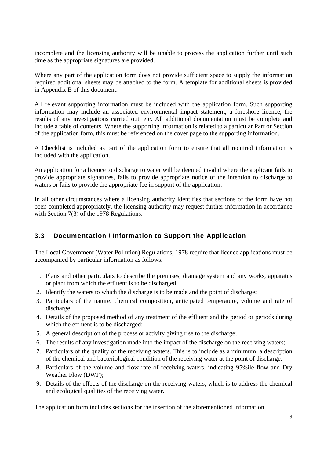incomplete and the licensing authority will be unable to process the application further until such time as the appropriate signatures are provided.

Where any part of the application form does not provide sufficient space to supply the information required additional sheets may be attached to the form. A template for additional sheets is provided in Appendix B of this document.

All relevant supporting information must be included with the application form. Such supporting information may include an associated environmental impact statement, a foreshore licence, the results of any investigations carried out, etc. All additional documentation must be complete and include a table of contents. Where the supporting information is related to a particular Part or Section of the application form, this must be referenced on the cover page to the supporting information.

A Checklist is included as part of the application form to ensure that all required information is included with the application.

An application for a licence to discharge to water will be deemed invalid where the applicant fails to provide appropriate signatures, fails to provide appropriate notice of the intention to discharge to waters or fails to provide the appropriate fee in support of the application.

In all other circumstances where a licensing authority identifies that sections of the form have not been completed appropriately, the licensing authority may request further information in accordance with Section 7(3) of the 1978 Regulations.

# 3.3 Documentation / Information to Support the Application

The Local Government (Water Pollution) Regulations, 1978 require that licence applications must be accompanied by particular information as follows.

- 1. Plans and other particulars to describe the premises, drainage system and any works, apparatus or plant from which the effluent is to be discharged;
- 2. Identify the waters to which the discharge is to be made and the point of discharge;
- 3. Particulars of the nature, chemical composition, anticipated temperature, volume and rate of discharge:
- 4. Details of the proposed method of any treatment of the effluent and the period or periods during which the effluent is to be discharged;
- 5. A general description of the process or activity giving rise to the discharge;
- 6. The results of any investigation made into the impact of the discharge on the receiving waters;
- 7. Particulars of the quality of the receiving waters. This is to include as a minimum, a description of the chemical and bacteriological condition of the receiving water at the point of discharge.
- 8. Particulars of the volume and flow rate of receiving waters, indicating 95%ile flow and Dry Weather Flow (DWF);
- 9. Details of the effects of the discharge on the receiving waters, which is to address the chemical and ecological qualities of the receiving water.

The application form includes sections for the insertion of the aforementioned information.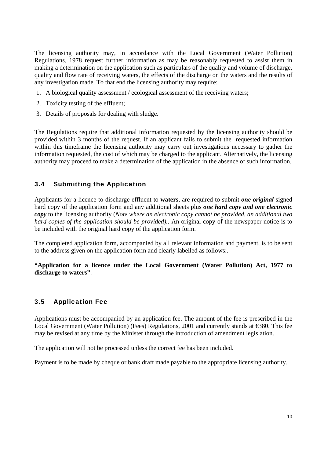The licensing authority may, in accordance with the Local Government (Water Pollution) Regulations, 1978 request further information as may be reasonably requested to assist them in making a determination on the application such as particulars of the quality and volume of discharge, quality and flow rate of receiving waters, the effects of the discharge on the waters and the results of any investigation made. To that end the licensing authority may require:

- 1. A biological quality assessment / ecological assessment of the receiving waters;
- 2. Toxicity testing of the effluent;
- 3. Details of proposals for dealing with sludge.

The Regulations require that additional information requested by the licensing authority should be provided within 3 months of the request. If an applicant fails to submit the requested information within this timeframe the licensing authority may carry out investigations necessary to gather the information requested, the cost of which may be charged to the applicant. Alternatively, the licensing authority may proceed to make a determination of the application in the absence of such information.

# 3.4 Submitting the Application

Applicants for a licence to discharge effluent to **waters**, are required to submit *one original* signed hard copy of the application form and any additional sheets plus *one hard copy and one electronic copy* to the licensing authority (*Note where an electronic copy cannot be provided, an additional two hard copies of the application should be provided).*. An original copy of the newspaper notice is to be included with the original hard copy of the application form.

The completed application form, accompanied by all relevant information and payment, is to be sent to the address given on the application form and clearly labelled as follows:.

**"Application for a licence under the Local Government (Water Pollution) Act, 1977 to discharge to waters"**.

# 3.5 Application Fee

Applications must be accompanied by an application fee. The amount of the fee is prescribed in the Local Government (Water Pollution) (Fees) Regulations, 2001 and currently stands at €380. This fee may be revised at any time by the Minister through the introduction of amendment legislation.

The application will not be processed unless the correct fee has been included.

Payment is to be made by cheque or bank draft made payable to the appropriate licensing authority.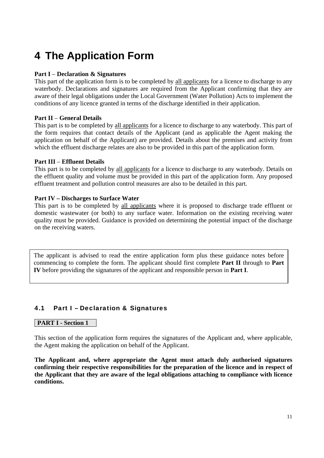# **4 The Application Form**

## **Part I** – **Declaration & Signatures**

This part of the application form is to be completed by all applicants for a licence to discharge to any waterbody. Declarations and signatures are required from the Applicant confirming that they are aware of their legal obligations under the Local Government (Water Pollution) Acts to implement the conditions of any licence granted in terms of the discharge identified in their application.

#### **Part II** – **General Details**

This part is to be completed by all applicants for a licence to discharge to any waterbody. This part of the form requires that contact details of the Applicant (and as applicable the Agent making the application on behalf of the Applicant) are provided. Details about the premises and activity from which the effluent discharge relates are also to be provided in this part of the application form.

#### **Part III** – **Effluent Details**

This part is to be completed by all applicants for a licence to discharge to any waterbody. Details on the effluent quality and volume must be provided in this part of the application form. Any proposed effluent treatment and pollution control measures are also to be detailed in this part.

#### **Part IV – Discharges to Surface Water**

This part is to be completed by all applicants where it is proposed to discharge trade effluent or domestic wastewater (or both) to any surface water. Information on the existing receiving water quality must be provided. Guidance is provided on determining the potential impact of the discharge on the receiving waters.

The applicant is advised to read the entire application form plus these guidance notes before commencing to complete the form. The applicant should first complete **Part II** through to **Part IV** before providing the signatures of the applicant and responsible person in **Part I**.

# 4.1 Part I – Declaration & Signatures

#### **PART I - Section 1**

This section of the application form requires the signatures of the Applicant and, where applicable, the Agent making the application on behalf of the Applicant.

**The Applicant and, where appropriate the Agent must attach duly authorised signatures confirming their respective responsibilities for the preparation of the licence and in respect of the Applicant that they are aware of the legal obligations attaching to compliance with licence conditions.**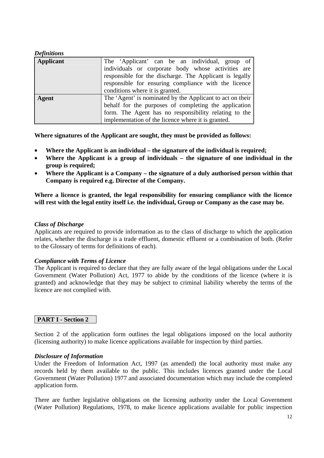### *Definitions*

| Applicant | The 'Applicant' can be an individual, group of<br>individuals or corporate body whose activities are<br>responsible for the discharge. The Applicant is legally $\parallel$<br>responsible for ensuring compliance with the licence<br>conditions where it is granted. |  |
|-----------|------------------------------------------------------------------------------------------------------------------------------------------------------------------------------------------------------------------------------------------------------------------------|--|
| Agent     | The 'Agent' is nominated by the Applicant to act on their  <br>behalf for the purposes of completing the application<br>form. The Agent has no responsibility relating to the<br>implementation of the licence where it is granted.                                    |  |

**Where signatures of the Applicant are sought, they must be provided as follows:** 

- **Where the Applicant is an individual the signature of the individual is required;**
- **Where the Applicant is a group of individuals the signature of one individual in the group is required;**
- **Where the Applicant is a Company the signature of a duly authorised person within that Company is required e.g. Director of the Company.**

**Where a licence is granted, the legal responsibility for ensuring compliance with the licence will rest with the legal entity itself i.e. the individual, Group or Company as the case may be.** 

#### *Class of Discharge*

Applicants are required to provide information as to the class of discharge to which the application relates, whether the discharge is a trade effluent, domestic effluent or a combination of both. (Refer to the Glossary of terms for definitions of each).

#### *Compliance with Terms of Licence*

The Applicant is required to declare that they are fully aware of the legal obligations under the Local Government (Water Pollution) Act, 1977 to abide by the conditions of the licence (where it is granted) and acknowledge that they may be subject to criminal liability whereby the terms of the licence are not complied with.

# **PART I - Section 2**

Section 2 of the application form outlines the legal obligations imposed on the local authority (licensing authority) to make licence applications available for inspection by third parties.

#### *Disclosure of Information*

Under the Freedom of Information Act, 1997 (as amended) the local authority must make any records held by them available to the public. This includes licences granted under the Local Government (Water Pollution) 1977 and associated documentation which may include the completed application form.

There are further legislative obligations on the licensing authority under the Local Government (Water Pollution) Regulations, 1978, to make licence applications available for public inspection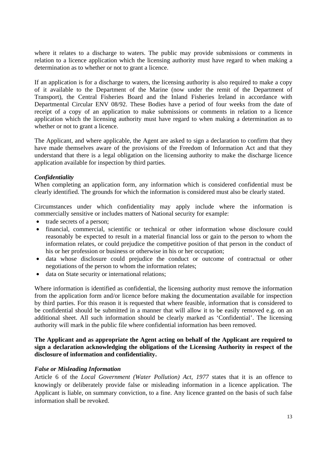where it relates to a discharge to waters. The public may provide submissions or comments in relation to a licence application which the licensing authority must have regard to when making a determination as to whether or not to grant a licence.

If an application is for a discharge to waters, the licensing authority is also required to make a copy of it available to the Department of the Marine (now under the remit of the Department of Transport), the Central Fisheries Board and the Inland Fisheries Ireland in accordance with Departmental Circular ENV 08/92. These Bodies have a period of four weeks from the date of receipt of a copy of an application to make submissions or comments in relation to a licence application which the licensing authority must have regard to when making a determination as to whether or not to grant a licence.

The Applicant, and where applicable, the Agent are asked to sign a declaration to confirm that they have made themselves aware of the provisions of the Freedom of Information Act and that they understand that there is a legal obligation on the licensing authority to make the discharge licence application available for inspection by third parties.

## *Confidentiality*

When completing an application form, any information which is considered confidential must be clearly identified. The grounds for which the information is considered must also be clearly stated.

Circumstances under which confidentiality may apply include where the information is commercially sensitive or includes matters of National security for example:

- trade secrets of a person;
- financial, commercial, scientific or technical or other information whose disclosure could reasonably be expected to result in a material financial loss or gain to the person to whom the information relates, or could prejudice the competitive position of that person in the conduct of his or her profession or business or otherwise in his or her occupation;
- data whose disclosure could prejudice the conduct or outcome of contractual or other negotiations of the person to whom the information relates;
- data on State security or international relations;

Where information is identified as confidential, the licensing authority must remove the information from the application form and/or licence before making the documentation available for inspection by third parties. For this reason it is requested that where feasible, information that is considered to be confidential should be submitted in a manner that will allow it to be easily removed e.g. on an additional sheet. All such information should be clearly marked as 'Confidential'. The licensing authority will mark in the public file where confidential information has been removed.

### **The Applicant and as appropriate the Agent acting on behalf of the Applicant are required to sign a declaration acknowledging the obligations of the Licensing Authority in respect of the disclosure of information and confidentiality.**

# *False or Misleading Information*

Article 6 of the *Local Government (Water Pollution) Act, 1977* states that it is an offence to knowingly or deliberately provide false or misleading information in a licence application. The Applicant is liable, on summary conviction, to a fine. Any licence granted on the basis of such false information shall be revoked.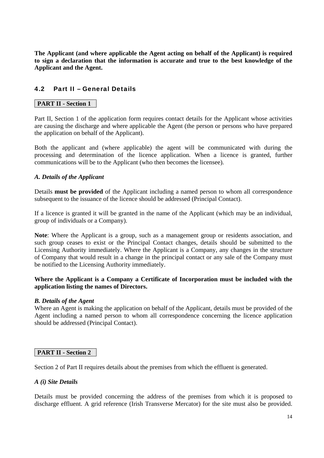**The Applicant (and where applicable the Agent acting on behalf of the Applicant) is required to sign a declaration that the information is accurate and true to the best knowledge of the Applicant and the Agent.** 

# 4.2 Part II – General Details

## **PART II - Section 1**

Part II, Section 1 of the application form requires contact details for the Applicant whose activities are causing the discharge and where applicable the Agent (the person or persons who have prepared the application on behalf of the Applicant).

Both the applicant and (where applicable) the agent will be communicated with during the processing and determination of the licence application. When a licence is granted, further communications will be to the Applicant (who then becomes the licensee).

#### *A. Details of the Applicant*

Details **must be provided** of the Applicant including a named person to whom all correspondence subsequent to the issuance of the licence should be addressed (Principal Contact).

If a licence is granted it will be granted in the name of the Applicant (which may be an individual, group of individuals or a Company).

**Note**: Where the Applicant is a group, such as a management group or residents association, and such group ceases to exist or the Principal Contact changes, details should be submitted to the Licensing Authority immediately. Where the Applicant is a Company, any changes in the structure of Company that would result in a change in the principal contact or any sale of the Company must be notified to the Licensing Authority immediately.

#### **Where the Applicant is a Company a Certificate of Incorporation must be included with the application listing the names of Directors.**

#### *B. Details of the Agent*

Where an Agent is making the application on behalf of the Applicant, details must be provided of the Agent including a named person to whom all correspondence concerning the licence application should be addressed (Principal Contact).

#### **PART II - Section 2**

Section 2 of Part II requires details about the premises from which the effluent is generated.

#### *A (i) Site Details*

Details must be provided concerning the address of the premises from which it is proposed to discharge effluent. A grid reference (Irish Transverse Mercator) for the site must also be provided.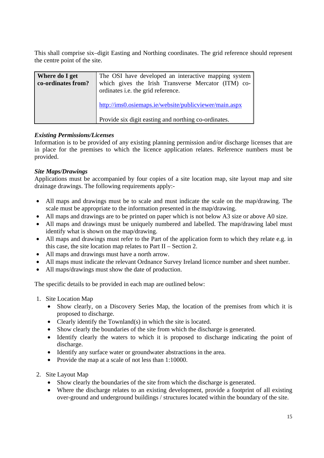This shall comprise six–digit Easting and Northing coordinates. The grid reference should represent the centre point of the site.

| Where do I get<br>co-ordinates from? | The OSI have developed an interactive mapping system<br>which gives the Irish Transverse Mercator (ITM) co-<br>ordinates i.e. the grid reference. |  |
|--------------------------------------|---------------------------------------------------------------------------------------------------------------------------------------------------|--|
|                                      | http://ims0.osiemaps.ie/website/publicviewer/main.aspx                                                                                            |  |
|                                      | Provide six digit easting and northing co-ordinates.                                                                                              |  |

# *Existing Permissions/Licenses*

Information is to be provided of any existing planning permission and/or discharge licenses that are in place for the premises to which the licence application relates. Reference numbers must be provided.

# *Site Maps/Drawings*

Applications must be accompanied by four copies of a site location map, site layout map and site drainage drawings. The following requirements apply:-

- All maps and drawings must be to scale and must indicate the scale on the map/drawing. The scale must be appropriate to the information presented in the map/drawing.
- All maps and drawings are to be printed on paper which is not below A3 size or above A0 size.
- All maps and drawings must be uniquely numbered and labelled. The map/drawing label must identify what is shown on the map/drawing.
- All maps and drawings must refer to the Part of the application form to which they relate e.g. in this case, the site location map relates to Part II – Section 2.
- All maps and drawings must have a north arrow.
- All maps must indicate the relevant Ordnance Survey Ireland licence number and sheet number.
- All maps/drawings must show the date of production.

The specific details to be provided in each map are outlined below:

- 1. Site Location Map
	- Show clearly, on a Discovery Series Map, the location of the premises from which it is proposed to discharge.
	- Clearly identify the Townland(s) in which the site is located.
	- Show clearly the boundaries of the site from which the discharge is generated.
	- Identify clearly the waters to which it is proposed to discharge indicating the point of discharge.
	- Identify any surface water or groundwater abstractions in the area.
	- Provide the map at a scale of not less than 1:10000.
- 2. Site Layout Map
	- Show clearly the boundaries of the site from which the discharge is generated.
	- Where the discharge relates to an existing development, provide a footprint of all existing over-ground and underground buildings / structures located within the boundary of the site.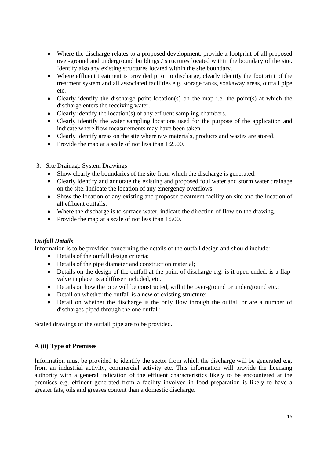- Where the discharge relates to a proposed development, provide a footprint of all proposed over-ground and underground buildings / structures located within the boundary of the site. Identify also any existing structures located within the site boundary.
- Where effluent treatment is provided prior to discharge, clearly identify the footprint of the treatment system and all associated facilities e.g. storage tanks, soakaway areas, outfall pipe etc.
- Clearly identify the discharge point location(s) on the map i.e. the point(s) at which the discharge enters the receiving water.
- Clearly identify the location(s) of any effluent sampling chambers.
- Clearly identify the water sampling locations used for the purpose of the application and indicate where flow measurements may have been taken.
- Clearly identify areas on the site where raw materials, products and wastes are stored.
- Provide the map at a scale of not less than 1:2500.
- 3. Site Drainage System Drawings
	- Show clearly the boundaries of the site from which the discharge is generated.
	- Clearly identify and annotate the existing and proposed foul water and storm water drainage on the site. Indicate the location of any emergency overflows.
	- Show the location of any existing and proposed treatment facility on site and the location of all effluent outfalls.
	- Where the discharge is to surface water, indicate the direction of flow on the drawing.
	- Provide the map at a scale of not less than 1:500.

#### *Outfall Details*

Information is to be provided concerning the details of the outfall design and should include:

- Details of the outfall design criteria:
- Details of the pipe diameter and construction material;
- Details on the design of the outfall at the point of discharge e.g. is it open ended, is a flapvalve in place, is a diffuser included, etc.;
- Details on how the pipe will be constructed, will it be over-ground or underground etc.;
- Detail on whether the outfall is a new or existing structure;
- Detail on whether the discharge is the only flow through the outfall or are a number of discharges piped through the one outfall;

Scaled drawings of the outfall pipe are to be provided.

#### **A (ii) Type of Premises**

Information must be provided to identify the sector from which the discharge will be generated e.g. from an industrial activity, commercial activity etc. This information will provide the licensing authority with a general indication of the effluent characteristics likely to be encountered at the premises e.g. effluent generated from a facility involved in food preparation is likely to have a greater fats, oils and greases content than a domestic discharge.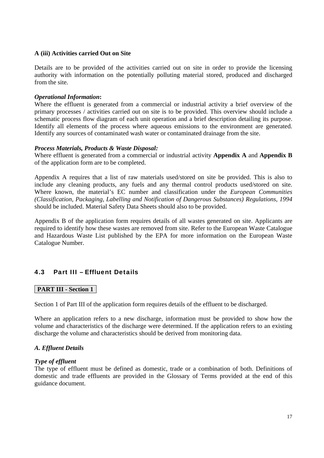#### **A (iii) Activities carried Out on Site**

Details are to be provided of the activities carried out on site in order to provide the licensing authority with information on the potentially polluting material stored, produced and discharged from the site.

#### *Operational Information***:**

Where the effluent is generated from a commercial or industrial activity a brief overview of the primary processes / activities carried out on site is to be provided. This overview should include a schematic process flow diagram of each unit operation and a brief description detailing its purpose. Identify all elements of the process where aqueous emissions to the environment are generated. Identify any sources of contaminated wash water or contaminated drainage from the site.

#### *Process Materials, Products & Waste Disposal:*

Where effluent is generated from a commercial or industrial activity **Appendix A** and **Appendix B** of the application form are to be completed.

Appendix A requires that a list of raw materials used/stored on site be provided. This is also to include any cleaning products, any fuels and any thermal control products used/stored on site. Where known, the material's EC number and classification under the *European Communities (Classification, Packaging, Labelling and Notification of Dangerous Substances) Regulations, 1994* should be included. Material Safety Data Sheets should also to be provided.

Appendix B of the application form requires details of all wastes generated on site. Applicants are required to identify how these wastes are removed from site. Refer to the European Waste Catalogue and Hazardous Waste List published by the EPA for more information on the European Waste Catalogue Number.

# 4.3 Part III – Effluent Details

#### **PART III - Section 1**

Section 1 of Part III of the application form requires details of the effluent to be discharged.

Where an application refers to a new discharge, information must be provided to show how the volume and characteristics of the discharge were determined. If the application refers to an existing discharge the volume and characteristics should be derived from monitoring data.

#### *A. Effluent Details*

#### *Type of effluent*

The type of effluent must be defined as domestic, trade or a combination of both. Definitions of domestic and trade effluents are provided in the Glossary of Terms provided at the end of this guidance document.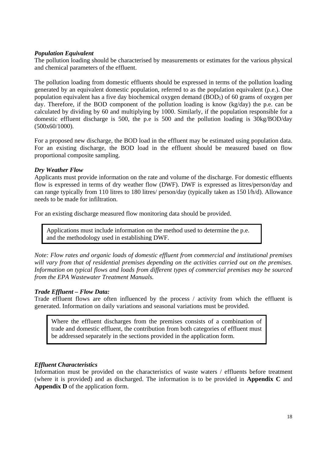## *Population Equivalent*

The pollution loading should be characterised by measurements or estimates for the various physical and chemical parameters of the effluent.

The pollution loading from domestic effluents should be expressed in terms of the pollution loading generated by an equivalent domestic population, referred to as the population equivalent (p.e.). One population equivalent has a five day biochemical oxygen demand (BOD5) of 60 grams of oxygen per day. Therefore, if the BOD component of the pollution loading is know (kg/day) the p.e. can be calculated by dividing by 60 and multiplying by 1000. Similarly, if the population responsible for a domestic effluent discharge is 500, the p.e is 500 and the pollution loading is 30kg/BOD/day (500x60/1000).

For a proposed new discharge, the BOD load in the effluent may be estimated using population data. For an existing discharge, the BOD load in the effluent should be measured based on flow proportional composite sampling.

#### *Dry Weather Flow*

Applicants must provide information on the rate and volume of the discharge. For domestic effluents flow is expressed in terms of dry weather flow (DWF). DWF is expressed as litres/person/day and can range typically from 110 litres to 180 litres/ person/day (typically taken as 150 l/h/d). Allowance needs to be made for infiltration.

For an existing discharge measured flow monitoring data should be provided.

Applications must include information on the method used to determine the p.e. and the methodology used in establishing DWF.

*Note: Flow rates and organic loads of domestic effluent from commercial and institutional premises will vary from that of residential premises depending on the activities carried out on the premises. Information on typical flows and loads from different types of commercial premises may be sourced from the EPA Wastewater Treatment Manuals.* 

#### *Trade Effluent – Flow Data:*

Trade effluent flows are often influenced by the process / activity from which the effluent is generated. Information on daily variations and seasonal variations must be provided.

Where the effluent discharges from the premises consists of a combination of trade and domestic effluent, the contribution from both categories of effluent must be addressed separately in the sections provided in the application form.

#### *Effluent Characteristics*

Information must be provided on the characteristics of waste waters / effluents before treatment (where it is provided) and as discharged. The information is to be provided in **Appendix C** and **Appendix D** of the application form.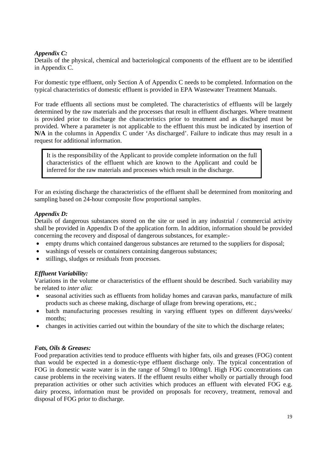## *Appendix C:*

Details of the physical, chemical and bacteriological components of the effluent are to be identified in Appendix C.

For domestic type effluent, only Section A of Appendix C needs to be completed. Information on the typical characteristics of domestic effluent is provided in EPA Wastewater Treatment Manuals.

For trade effluents all sections must be completed. The characteristics of effluents will be largely determined by the raw materials and the processes that result in effluent discharges. Where treatment is provided prior to discharge the characteristics prior to treatment and as discharged must be provided. Where a parameter is not applicable to the effluent this must be indicated by insertion of **N/A** in the columns in Appendix C under 'As discharged'. Failure to indicate thus may result in a request for additional information.

It is the responsibility of the Applicant to provide complete information on the full characteristics of the effluent which are known to the Applicant and could be inferred for the raw materials and processes which result in the discharge.

For an existing discharge the characteristics of the effluent shall be determined from monitoring and sampling based on 24-hour composite flow proportional samples.

## *Appendix D:*

Details of dangerous substances stored on the site or used in any industrial / commercial activity shall be provided in Appendix D of the application form. In addition, information should be provided concerning the recovery and disposal of dangerous substances, for example:-

- empty drums which contained dangerous substances are returned to the suppliers for disposal;
- washings of vessels or containers containing dangerous substances;
- stillings, sludges or residuals from processes.

# *Effluent Variability:*

Variations in the volume or characteristics of the effluent should be described. Such variability may be related to *inter alia*:

- seasonal activities such as effluents from holiday homes and caravan parks, manufacture of milk products such as cheese making, discharge of ullage from brewing operations, etc.;
- batch manufacturing processes resulting in varying effluent types on different days/weeks/ months;
- changes in activities carried out within the boundary of the site to which the discharge relates;

#### *Fats, Oils & Greases:*

Food preparation activities tend to produce effluents with higher fats, oils and greases (FOG) content than would be expected in a domestic-type effluent discharge only. The typical concentration of FOG in domestic waste water is in the range of 50mg/l to 100mg/l. High FOG concentrations can cause problems in the receiving waters. If the effluent results either wholly or partially through food preparation activities or other such activities which produces an effluent with elevated FOG e.g. dairy process, information must be provided on proposals for recovery, treatment, removal and disposal of FOG prior to discharge.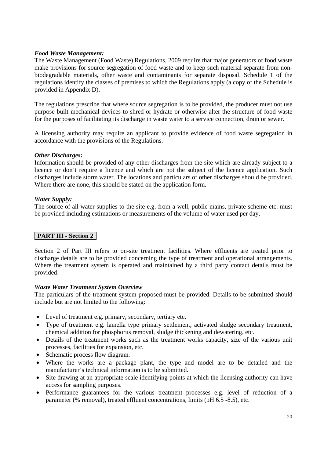### *Food Waste Management:*

The Waste Management (Food Waste) Regulations, 2009 require that major generators of food waste make provisions for source segregation of food waste and to keep such material separate from nonbiodegradable materials, other waste and contaminants for separate disposal. Schedule 1 of the regulations identify the classes of premises to which the Regulations apply (a copy of the Schedule is provided in Appendix D).

The regulations prescribe that where source segregation is to be provided, the producer must not use purpose built mechanical devices to shred or hydrate or otherwise alter the structure of food waste for the purposes of facilitating its discharge in waste water to a service connection, drain or sewer.

A licensing authority may require an applicant to provide evidence of food waste segregation in accordance with the provisions of the Regulations.

#### *Other Discharges:*

Information should be provided of any other discharges from the site which are already subject to a licence or don't require a licence and which are not the subject of the licence application. Such discharges include storm water. The locations and particulars of other discharges should be provided. Where there are none, this should be stated on the application form.

#### *Water Supply:*

The source of all water supplies to the site e.g. from a well, public mains, private scheme etc. must be provided including estimations or measurements of the volume of water used per day.

# **PART III - Section 2**

Section 2 of Part III refers to on-site treatment facilities. Where effluents are treated prior to discharge details are to be provided concerning the type of treatment and operational arrangements. Where the treatment system is operated and maintained by a third party contact details must be provided.

#### *Waste Water Treatment System Overview*

The particulars of the treatment system proposed must be provided. Details to be submitted should include but are not limited to the following:

- Level of treatment e.g. primary, secondary, tertiary etc.
- Type of treatment e.g. lamella type primary settlement, activated sludge secondary treatment, chemical addition for phosphorus removal, sludge thickening and dewatering, etc.
- Details of the treatment works such as the treatment works capacity, size of the various unit processes, facilities for expansion, etc.
- Schematic process flow diagram.
- Where the works are a package plant, the type and model are to be detailed and the manufacturer's technical information is to be submitted.
- Site drawing at an appropriate scale identifying points at which the licensing authority can have access for sampling purposes.
- Performance guarantees for the various treatment processes e.g. level of reduction of a parameter (% removal), treated effluent concentrations, limits (pH 6.5 -8.5), etc.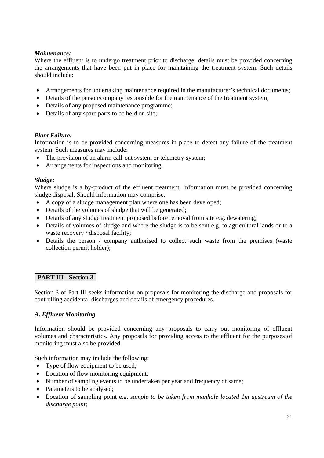# *Maintenance:*

Where the effluent is to undergo treatment prior to discharge, details must be provided concerning the arrangements that have been put in place for maintaining the treatment system. Such details should include:

- Arrangements for undertaking maintenance required in the manufacturer's technical documents;
- Details of the person/company responsible for the maintenance of the treatment system;
- Details of any proposed maintenance programme;
- Details of any spare parts to be held on site;

# *Plant Failure:*

Information is to be provided concerning measures in place to detect any failure of the treatment system. Such measures may include:

- The provision of an alarm call-out system or telemetry system;
- Arrangements for inspections and monitoring.

## *Sludge:*

Where sludge is a by-product of the effluent treatment, information must be provided concerning sludge disposal. Should information may comprise:

- A copy of a sludge management plan where one has been developed;
- Details of the volumes of sludge that will be generated;
- Details of any sludge treatment proposed before removal from site e.g. dewatering:
- Details of volumes of sludge and where the sludge is to be sent e.g. to agricultural lands or to a waste recovery / disposal facility;
- Details the person / company authorised to collect such waste from the premises (waste collection permit holder);

# **PART III - Section 3**

Section 3 of Part III seeks information on proposals for monitoring the discharge and proposals for controlling accidental discharges and details of emergency procedures.

# *A. Effluent Monitoring*

Information should be provided concerning any proposals to carry out monitoring of effluent volumes and characteristics. Any proposals for providing access to the effluent for the purposes of monitoring must also be provided.

Such information may include the following:

- Type of flow equipment to be used;
- Location of flow monitoring equipment;
- Number of sampling events to be undertaken per year and frequency of same;
- Parameters to be analysed;
- Location of sampling point e.g. *sample to be taken from manhole located 1m upstream of the discharge point*;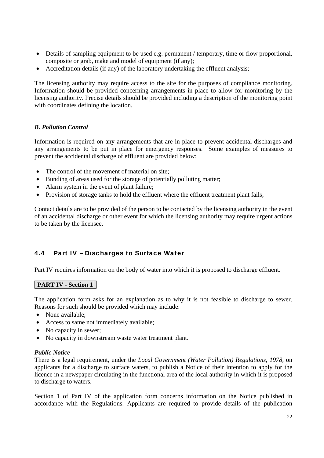- Details of sampling equipment to be used e.g. permanent / temporary, time or flow proportional, composite or grab, make and model of equipment (if any);
- Accreditation details (if any) of the laboratory undertaking the effluent analysis;

The licensing authority may require access to the site for the purposes of compliance monitoring. Information should be provided concerning arrangements in place to allow for monitoring by the licensing authority. Precise details should be provided including a description of the monitoring point with coordinates defining the location.

# *B. Pollution Control*

Information is required on any arrangements that are in place to prevent accidental discharges and any arrangements to be put in place for emergency responses. Some examples of measures to prevent the accidental discharge of effluent are provided below:

- The control of the movement of material on site;
- Bunding of areas used for the storage of potentially polluting matter;
- Alarm system in the event of plant failure;
- Provision of storage tanks to hold the effluent where the effluent treatment plant fails;

Contact details are to be provided of the person to be contacted by the licensing authority in the event of an accidental discharge or other event for which the licensing authority may require urgent actions to be taken by the licensee.

# 4.4 Part IV – Discharges to Surface Water

Part IV requires information on the body of water into which it is proposed to discharge effluent.

# **PART IV - Section 1**

The application form asks for an explanation as to why it is not feasible to discharge to sewer. Reasons for such should be provided which may include:

- None available:
- Access to same not immediately available;
- No capacity in sewer;
- No capacity in downstream waste water treatment plant.

#### *Public Notice*

There is a legal requirement, under the *Local Government (Water Pollution) Regulations, 1978,* on applicants for a discharge to surface waters, to publish a Notice of their intention to apply for the licence in a newspaper circulating in the functional area of the local authority in which it is proposed to discharge to waters.

Section 1 of Part IV of the application form concerns information on the Notice published in accordance with the Regulations. Applicants are required to provide details of the publication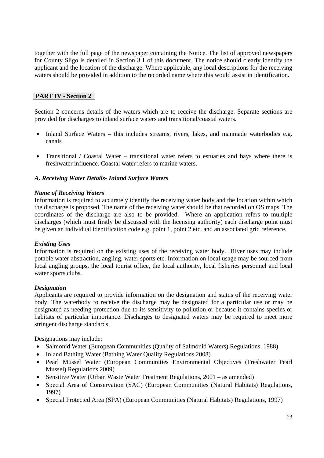together with the full page of the newspaper containing the Notice. The list of approved newspapers for County Sligo is detailed in Section 3.1 of this document. The notice should clearly identify the applicant and the location of the discharge. Where applicable, any local descriptions for the receiving waters should be provided in addition to the recorded name where this would assist in identification.

# **PART IV - Section 2**

Section 2 concerns details of the waters which are to receive the discharge. Separate sections are provided for discharges to inland surface waters and transitional/coastal waters.

- Inland Surface Waters this includes streams, rivers, lakes, and manmade waterbodies e.g. canals
- Transitional / Coastal Water transitional water refers to estuaries and bays where there is freshwater influence. Coastal water refers to marine waters.

# *A. Receiving Water Details- Inland Surface Waters*

#### *Name of Receiving Waters*

Information is required to accurately identify the receiving water body and the location within which the discharge is proposed. The name of the receiving water should be that recorded on OS maps. The coordinates of the discharge are also to be provided. Where an application refers to multiple discharges (which must firstly be discussed with the licensing authority) each discharge point must be given an individual identification code e.g. point 1, point 2 etc. and an associated grid reference.

#### *Existing Uses*

Information is required on the existing uses of the receiving water body. River uses may include potable water abstraction, angling, water sports etc. Information on local usage may be sourced from local angling groups, the local tourist office, the local authority, local fisheries personnel and local water sports clubs.

#### *Designation*

Applicants are required to provide information on the designation and status of the receiving water body. The waterbody to receive the discharge may be designated for a particular use or may be designated as needing protection due to its sensitivity to pollution or because it contains species or habitats of particular importance. Discharges to designated waters may be required to meet more stringent discharge standards.

Designations may include:

- Salmonid Water (European Communities (Quality of Salmonid Waters) Regulations, 1988)
- Inland Bathing Water (Bathing Water Quality Regulations 2008)
- Pearl Mussel Water (European Communities Environmental Objectives (Freshwater Pearl Mussel) Regulations 2009)
- Sensitive Water (Urban Waste Water Treatment Regulations, 2001 as amended)
- Special Area of Conservation (SAC) (European Communities (Natural Habitats) Regulations, 1997)
- Special Protected Area (SPA) (European Communities (Natural Habitats) Regulations, 1997)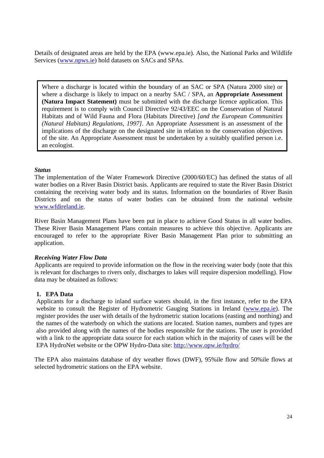Details of designated areas are held by the EPA (www.epa.ie). Also, the National Parks and Wildlife Services (www.npws.ie) hold datasets on SACs and SPAs.

Where a discharge is located within the boundary of an SAC or SPA (Natura 2000 site) or where a discharge is likely to impact on a nearby SAC / SPA, an **Appropriate Assessment (Natura Impact Statement)** must be submitted with the discharge licence application. This requirement is to comply with Council Directive 92/43/EEC on the Conservation of Natural Habitats and of Wild Fauna and Flora (Habitats Directive) *[and the European Communities (Natural Habitats) Regulations, 1997]*. An Appropriate Assessment is an assessment of the implications of the discharge on the designated site in relation to the conservation objectives of the site. An Appropriate Assessment must be undertaken by a suitably qualified person i.e. an ecologist.

#### *Status*

The implementation of the Water Framework Directive (2000/60/EC) has defined the status of all water bodies on a River Basin District basis. Applicants are required to state the River Basin District containing the receiving water body and its status. Information on the boundaries of River Basin Districts and on the status of water bodies can be obtained from the national website www.wfdireland.ie.

River Basin Management Plans have been put in place to achieve Good Status in all water bodies. These River Basin Management Plans contain measures to achieve this objective. Applicants are encouraged to refer to the appropriate River Basin Management Plan prior to submitting an application.

#### *Receiving Water Flow Data*

Applicants are required to provide information on the flow in the receiving water body (note that this is relevant for discharges to rivers only, discharges to lakes will require dispersion modelling). Flow data may be obtained as follows:

#### **1. EPA Data**

Applicants for a discharge to inland surface waters should, in the first instance, refer to the EPA website to consult the Register of Hydrometric Gauging Stations in Ireland (www.epa.ie). The register provides the user with details of the hydrometric station locations (easting and northing) and the names of the waterbody on which the stations are located. Station names, numbers and types are also provided along with the names of the bodies responsible for the stations. The user is provided with a link to the appropriate data source for each station which in the majority of cases will be the EPA HydroNet website or the OPW Hydro-Data site: http://www.opw.ie/hydro/

The EPA also maintains database of dry weather flows (DWF), 95%ile flow and 50%ile flows at selected hydrometric stations on the EPA website.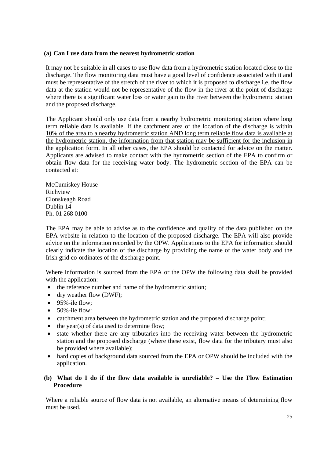## **(a) Can I use data from the nearest hydrometric station**

It may not be suitable in all cases to use flow data from a hydrometric station located close to the discharge. The flow monitoring data must have a good level of confidence associated with it and must be representative of the stretch of the river to which it is proposed to discharge i.e. the flow data at the station would not be representative of the flow in the river at the point of discharge where there is a significant water loss or water gain to the river between the hydrometric station and the proposed discharge.

The Applicant should only use data from a nearby hydrometric monitoring station where long term reliable data is available. If the catchment area of the location of the discharge is within 10% of the area to a nearby hydrometric station AND long term reliable flow data is available at the hydrometric station, the information from that station may be sufficient for the inclusion in the application form. In all other cases, the EPA should be contacted for advice on the matter. Applicants are advised to make contact with the hydrometric section of the EPA to confirm or obtain flow data for the receiving water body. The hydrometric section of the EPA can be contacted at:

McCumiskey House Richview Clonskeagh Road Dublin 14 Ph. 01 268 0100

The EPA may be able to advise as to the confidence and quality of the data published on the EPA website in relation to the location of the proposed discharge. The EPA will also provide advice on the information recorded by the OPW. Applications to the EPA for information should clearly indicate the location of the discharge by providing the name of the water body and the Irish grid co-ordinates of the discharge point.

Where information is sourced from the EPA or the OPW the following data shall be provided with the application:

- the reference number and name of the hydrometric station;
- dry weather flow (DWF):
- $\bullet$  95%-ile flow:
- $\bullet$  50%-ile flow:
- catchment area between the hydrometric station and the proposed discharge point;
- $\bullet$  the year(s) of data used to determine flow;
- state whether there are any tributaries into the receiving water between the hydrometric station and the proposed discharge (where these exist, flow data for the tributary must also be provided where available);
- hard copies of background data sourced from the EPA or OPW should be included with the application.

## **(b) What do I do if the flow data available is unreliable? – Use the Flow Estimation Procedure**

Where a reliable source of flow data is not available, an alternative means of determining flow must be used.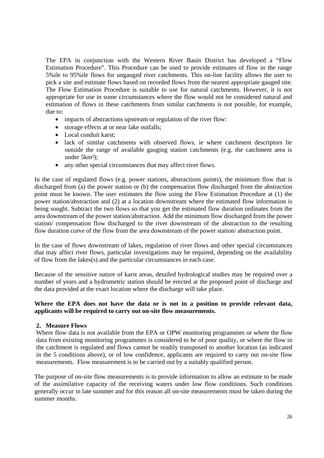The EPA in conjunction with the Western River Basin District has developed a "Flow Estimation Procedure". This Procedure can be used to provide estimates of flow in the range 5%ile to 95%ile flows for ungauged river catchments. This on-line facility allows the user to pick a site and estimate flows based on recorded flows from the nearest appropriate gauged site. The Flow Estimation Procedure is suitable to use for natural catchments. However, it is not appropriate for use in some circumstances where the flow would not be considered natural and estimation of flows in these catchments from similar catchments is not possible, for example, due to:

- impacts of abstractions upstream or regulation of the river flow:
- storage effects at or near lake outfalls;
- Local conduit karst;
- lack of similar catchments with observed flows, ie where catchment descriptors lie outside the range of available gauging station catchments (e.g. the catchment area is under 5km²);
- any other special circumstances that may affect river flows.

In the case of regulated flows (e.g. power stations, abstractions points), the minimum flow that is discharged from (a) the power station or (b) the compensation flow discharged from the abstraction point must be known. The user estimates the flow using the Flow Estimation Procedure at (1) the power station/abstraction and (2) at a location downstream where the estimated flow information is being sought. Subtract the two flows so that you get the estimated flow duration ordinates from the area downstream of the power station/abstraction. Add the minimum flow discharged from the power station/ compensation flow discharged to the river downstream of the abstraction to the resulting flow duration curve of the flow from the area downstream of the power station/ abstraction point.

In the case of flows downstream of lakes, regulation of river flows and other special circumstances that may affect river flows, particular investigations may be required, depending on the availability of flow from the lakes(s) and the particular circumstances in each case.

Because of the sensitive nature of karst areas, detailed hydrological studies may be required over a number of years and a hydrometric station should be erected at the proposed point of discharge and the data provided at the exact location where the discharge will take place.

#### **Where the EPA does not have the data or is not in a position to provide relevant data, applicants will be required to carry out on-site flow measurements.**

#### **2. Measure Flows**

Where flow data is not available from the EPA or OPW monitoring programmes or where the flow data from existing monitoring programmes is considered to be of poor quality, or where the flow in the catchment is regulated and flows cannot be readily transposed to another location (as indicated in the 5 conditions above), or of low confidence, applicants are required to carry out on-site flow measurements. Flow measurement is to be carried out by a suitably qualified person.

The purpose of on-site flow measurements is to provide information to allow an estimate to be made of the assimilative capacity of the receiving waters under low flow conditions. Such conditions generally occur in late summer and for this reason all on-site measurements must be taken during the summer months.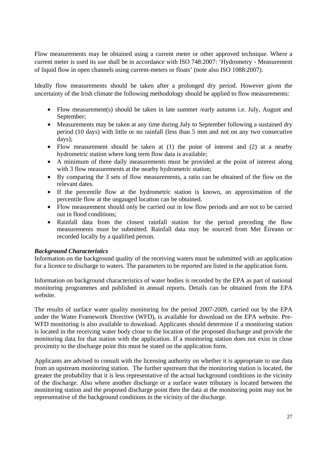Flow measurements may be obtained using a current meter or other approved technique. Where a current meter is used its use shall be in accordance with ISO 748:2007: 'Hydrometry - Measurement of liquid flow in open channels using current-meters or floats' (note also ISO 1088:2007).

Ideally flow measurements should be taken after a prolonged dry period. However given the uncertainty of the Irish climate the following methodology should be applied to flow measurements:

- Flow measurement(s) should be taken in late summer /early autumn i.e. July, August and September;
- Measurements may be taken at any time during July to September following a sustained dry period (10 days) with little or no rainfall (less than 5 mm and not on any two consecutive days);
- Flow measurement should be taken at (1) the point of interest and (2) at a nearby hydrometric station where long term flow data is available;
- A minimum of three daily measurements must be provided at the point of interest along with 3 flow measurements at the nearby hydrometric station;
- By comparing the 3 sets of flow measurements, a ratio can be obtained of the flow on the relevant dates.
- If the percentile flow at the hydrometric station is known, an approximation of the percentile flow at the ungauged location can be obtained.
- Flow measurement should only be carried out in low flow periods and are not to be carried out in flood conditions;
- Rainfall data from the closest rainfall station for the period preceding the flow measurements must be submitted. Rainfall data may be sourced from Met Éireann or recorded locally by a qualified person.

# *Background Characteristics*

Information on the background quality of the receiving waters must be submitted with an application for a licence to discharge to waters. The parameters to be reported are listed in the application form.

Information on background characteristics of water bodies is recorded by the EPA as part of national monitoring programmes and published in annual reports. Details can be obtained from the EPA website.

The results of surface water quality monitoring for the period 2007-2009, carried out by the EPA under the Water Framework Directive (WFD), is available for download on the EPA website. Pre-WFD monitoring is also available to download. Applicants should determine if a monitoring station is located in the receiving water body close to the location of the proposed discharge and provide the monitoring data for that station with the application. If a monitoring station does not exist in close proximity to the discharge point this must be stated on the application form.

Applicants are advised to consult with the licensing authority on whether it is appropriate to use data from an upstream monitoring station. The further upstream that the monitoring station is located, the greater the probability that it is less representative of the actual background conditions in the vicinity of the discharge. Also where another discharge or a surface water tributary is located between the monitoring station and the proposed discharge point then the data at the monitoring point may not be representative of the background conditions in the vicinity of the discharge.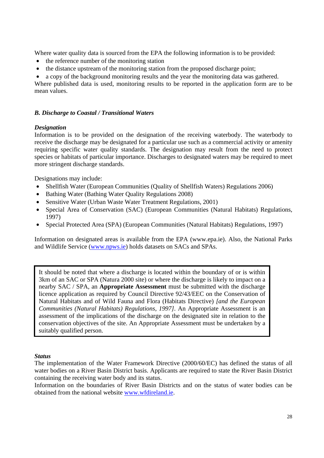Where water quality data is sourced from the EPA the following information is to be provided:

- the reference number of the monitoring station
- the distance upstream of the monitoring station from the proposed discharge point;
- a copy of the background monitoring results and the year the monitoring data was gathered.

Where published data is used, monitoring results to be reported in the application form are to be mean values.

## *B. Discharge to Coastal / Transitional Waters*

## *Designation*

Information is to be provided on the designation of the receiving waterbody. The waterbody to receive the discharge may be designated for a particular use such as a commercial activity or amenity requiring specific water quality standards. The designation may result from the need to protect species or habitats of particular importance. Discharges to designated waters may be required to meet more stringent discharge standards.

Designations may include:

- Shellfish Water (European Communities (Quality of Shellfish Waters) Regulations 2006)
- Bathing Water (Bathing Water Quality Regulations 2008)
- Sensitive Water (Urban Waste Water Treatment Regulations, 2001)
- Special Area of Conservation (SAC) (European Communities (Natural Habitats) Regulations, 1997)
- Special Protected Area (SPA) (European Communities (Natural Habitats) Regulations, 1997)

Information on designated areas is available from the EPA (www.epa.ie). Also, the National Parks and Wildlife Service (www.npws.ie) holds datasets on SACs and SPAs.

It should be noted that where a discharge is located within the boundary of or is within 3km of an SAC or SPA (Natura 2000 site) or where the discharge is likely to impact on a nearby SAC / SPA, an **Appropriate Assessment** must be submitted with the discharge licence application as required by Council Directive 92/43/EEC on the Conservation of Natural Habitats and of Wild Fauna and Flora (Habitats Directive) *[and the European Communities (Natural Habitats) Regulations, 1997]*. An Appropriate Assessment is an assessment of the implications of the discharge on the designated site in relation to the conservation objectives of the site. An Appropriate Assessment must be undertaken by a suitably qualified person.

#### *Status*

Information on the boundaries of River Basin Districts and on the status of water bodies can be obtained from the national website www.wfdireland.ie.

The implementation of the Water Framework Directive (2000/60/EC) has defined the status of all water bodies on a River Basin District basis. Applicants are required to state the River Basin District containing the receiving water body and its status.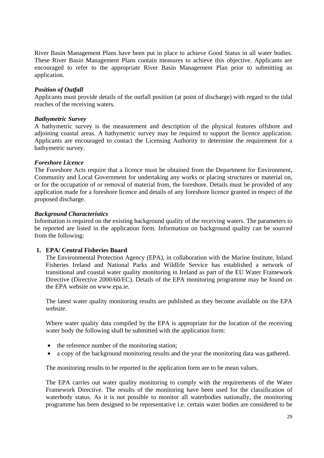River Basin Management Plans have been put in place to achieve Good Status in all water bodies. These River Basin Management Plans contain measures to achieve this objective. Applicants are encouraged to refer to the appropriate River Basin Management Plan prior to submitting an application.

#### *Position of Outfall*

Applicants must provide details of the outfall position (at point of discharge) with regard to the tidal reaches of the receiving waters.

#### *Bathymetric Survey*

A bathymetric survey is the measurement and description of the physical features offshore and adjoining coastal areas. A bathymetric survey may be required to support the licence application. Applicants are encouraged to contact the Licensing Authority to determine the requirement for a bathymetric survey.

#### *Foreshore Licence*

The Foreshore Acts require that a licence must be obtained from the Department for Environment, Community and Local Government for undertaking any works or placing structures or material on, or for the occupation of or removal of material from, the foreshore. Details must be provided of any application made for a foreshore licence and details of any foreshore licence granted in respect of the proposed discharge.

#### *Background Characteristics*

Information is required on the existing background quality of the receiving waters. The parameters to be reported are listed in the application form. Information on background quality can be sourced from the following:

#### **1. EPA/ Central Fisheries Board**

The Environmental Protection Agency (EPA), in collaboration with the Marine Institute, Inland Fisheries Ireland and National Parks and Wildlife Service has established a network of transitional and coastal water quality monitoring in Ireland as part of the EU Water Framework Directive (Directive 2000/60/EC). Details of the EPA monitoring programme may be found on the EPA website on www.epa.ie.

The latest water quality monitoring results are published as they become available on the EPA website.

Where water quality data compiled by the EPA is appropriate for the location of the receiving water body the following shall be submitted with the application form:

- the reference number of the monitoring station;
- a copy of the background monitoring results and the year the monitoring data was gathered.

The monitoring results to be reported in the application form are to be mean values.

The EPA carries out water quality monitoring to comply with the requirements of the Water Framework Directive. The results of the monitoring have been used for the classification of waterbody status. As it is not possible to monitor all waterbodies nationally, the monitoring programme has been designed to be representative i.e. certain water bodies are considered to be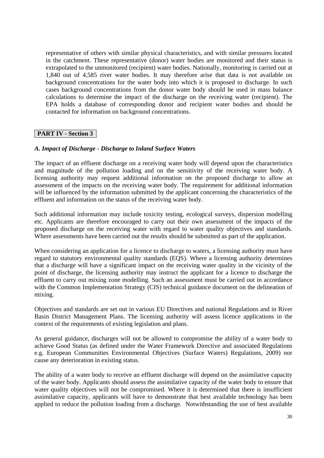representative of others with similar physical characteristics, and with similar pressures located in the catchment. These representative (donor) water bodies are monitored and their status is extrapolated to the unmonitored (recipient) water bodies. Nationally, monitoring is carried out at 1,840 out of 4,585 river water bodies. It may therefore arise that data is not available on background concentrations for the water body into which it is proposed to discharge. In such cases background concentrations from the donor water body should be used in mass balance calculations to determine the impact of the discharge on the receiving water (recipient). The EPA holds a database of corresponding donor and recipient water bodies and should be contacted for information on background concentrations.

# **PART IV - Section 3**

#### *A. Impact of Discharge - Discharge to Inland Surface Waters*

The impact of an effluent discharge on a receiving water body will depend upon the characteristics and magnitude of the pollution loading and on the sensitivity of the receiving water body. A licensing authority may request additional information on the proposed discharge to allow an assessment of the impacts on the receiving water body. The requirement for additional information will be influenced by the information submitted by the applicant concerning the characteristics of the effluent and information on the status of the receiving water body.

Such additional information may include toxicity testing, ecological surveys, dispersion modelling etc. Applicants are therefore encouraged to carry out their own assessment of the impacts of the proposed discharge on the receiving water with regard to water quality objectives and standards. Where assessments have been carried out the results should be submitted as part of the application.

When considering an application for a licence to discharge to waters, a licensing authority must have regard to statutory environmental quality standards (EQS). Where a licensing authority determines that a discharge will have a significant impact on the receiving water quality in the vicinity of the point of discharge, the licensing authority may instruct the applicant for a licence to discharge the effluent to carry out mixing zone modelling. Such an assessment must be carried out in accordance with the Common Implementation Strategy (CIS) technical guidance document on the delineation of mixing.

Objectives and standards are set out in various EU Directives and national Regulations and in River Basin District Management Plans. The licensing authority will assess licence applications in the context of the requirements of existing legislation and plans.

As general guidance, discharges will not be allowed to compromise the ability of a water body to achieve Good Status (as defined under the Water Framework Directive and associated Regulations e.g. European Communities Environmental Objectives (Surface Waters) Regulations, 2009) nor cause any deterioration in existing status.

The ability of a water body to receive an effluent discharge will depend on the assimilative capacity of the water body. Applicants should assess the assimilative capacity of the water body to ensure that water quality objectives will not be compromised. Where it is determined that there is insufficient assimilative capacity, applicants will have to demonstrate that best available technology has been applied to reduce the pollution loading from a discharge. Notwithstanding the use of best available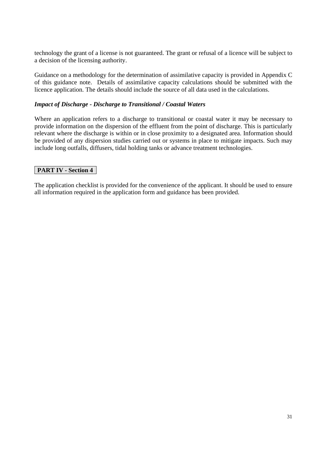technology the grant of a license is not guaranteed. The grant or refusal of a licence will be subject to a decision of the licensing authority.

Guidance on a methodology for the determination of assimilative capacity is provided in Appendix C of this guidance note. Details of assimilative capacity calculations should be submitted with the licence application. The details should include the source of all data used in the calculations.

#### *Impact of Discharge - Discharge to Transitional / Coastal Waters*

Where an application refers to a discharge to transitional or coastal water it may be necessary to provide information on the dispersion of the effluent from the point of discharge. This is particularly relevant where the discharge is within or in close proximity to a designated area. Information should be provided of any dispersion studies carried out or systems in place to mitigate impacts. Such may include long outfalls, diffusers, tidal holding tanks or advance treatment technologies.

## **PART IV - Section 4**

The application checklist is provided for the convenience of the applicant. It should be used to ensure all information required in the application form and guidance has been provided.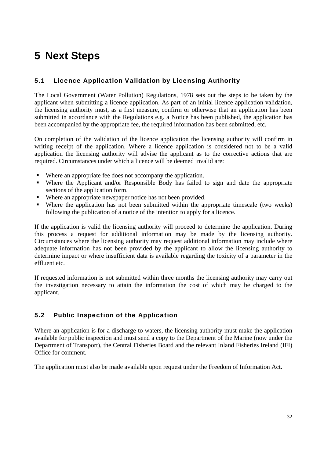# **5 Next Steps**

# 5.1 Licence Application Validation by Licensing Authority

The Local Government (Water Pollution) Regulations, 1978 sets out the steps to be taken by the applicant when submitting a licence application. As part of an initial licence application validation, the licensing authority must, as a first measure, confirm or otherwise that an application has been submitted in accordance with the Regulations e.g. a Notice has been published, the application has been accompanied by the appropriate fee, the required information has been submitted, etc.

On completion of the validation of the licence application the licensing authority will confirm in writing receipt of the application. Where a licence application is considered not to be a valid application the licensing authority will advise the applicant as to the corrective actions that are required. Circumstances under which a licence will be deemed invalid are:

- Where an appropriate fee does not accompany the application.
- Where the Applicant and/or Responsible Body has failed to sign and date the appropriate sections of the application form.
- Where an appropriate newspaper notice has not been provided.
- Where the application has not been submitted within the appropriate timescale (two weeks) following the publication of a notice of the intention to apply for a licence.

If the application is valid the licensing authority will proceed to determine the application. During this process a request for additional information may be made by the licensing authority. Circumstances where the licensing authority may request additional information may include where adequate information has not been provided by the applicant to allow the licensing authority to determine impact or where insufficient data is available regarding the toxicity of a parameter in the effluent etc.

If requested information is not submitted within three months the licensing authority may carry out the investigation necessary to attain the information the cost of which may be charged to the applicant.

# 5.2 Public Inspection of the Application

Where an application is for a discharge to waters, the licensing authority must make the application available for public inspection and must send a copy to the Department of the Marine (now under the Department of Transport), the Central Fisheries Board and the relevant Inland Fisheries Ireland (IFI) Office for comment.

The application must also be made available upon request under the Freedom of Information Act.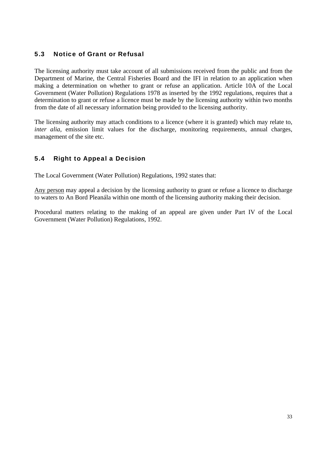# 5.3 Notice of Grant or Refusal

The licensing authority must take account of all submissions received from the public and from the Department of Marine, the Central Fisheries Board and the IFI in relation to an application when making a determination on whether to grant or refuse an application. Article 10A of the Local Government (Water Pollution) Regulations 1978 as inserted by the 1992 regulations, requires that a determination to grant or refuse a licence must be made by the licensing authority within two months from the date of all necessary information being provided to the licensing authority.

The licensing authority may attach conditions to a licence (where it is granted) which may relate to, *inter alia*, emission limit values for the discharge, monitoring requirements, annual charges, management of the site etc.

# 5.4 Right to Appeal a Decision

The Local Government (Water Pollution) Regulations, 1992 states that:

Any person may appeal a decision by the licensing authority to grant or refuse a licence to discharge to waters to An Bord Pleanála within one month of the licensing authority making their decision.

Procedural matters relating to the making of an appeal are given under Part IV of the Local Government (Water Pollution) Regulations, 1992.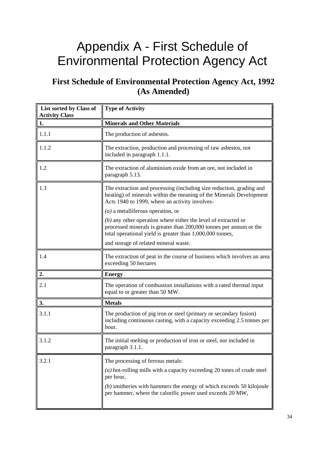# Appendix A - First Schedule of Environmental Protection Agency Act

# **First Schedule of Environmental Protection Agency Act, 1992 (As Amended)**

| List sorted by Class of<br><b>Activity Class</b> | <b>Type of Activity</b>                                                                                                                                                                                                                                            |  |  |
|--------------------------------------------------|--------------------------------------------------------------------------------------------------------------------------------------------------------------------------------------------------------------------------------------------------------------------|--|--|
| 1.                                               | <b>Minerals and Other Materials</b>                                                                                                                                                                                                                                |  |  |
| 1.1.1                                            | The production of asbestos.                                                                                                                                                                                                                                        |  |  |
| 1.1.2                                            | The extraction, production and processing of raw asbestos, not<br>included in paragraph 1.1.1.                                                                                                                                                                     |  |  |
| 1.2                                              | The extraction of aluminium oxide from an ore, not included in<br>paragraph 5.13.                                                                                                                                                                                  |  |  |
| 1.3                                              | The extraction and processing (including size reduction, grading and<br>heating) of minerals within the meaning of the Minerals Development<br>Acts 1940 to 1999, where an activity involves-<br>$(a)$ a metalliferous operation, or                               |  |  |
|                                                  | $(b)$ any other operation where either the level of extracted or<br>processed minerals is greater than 200,000 tonnes per annum or the<br>total operational yield is greater than 1,000,000 tonnes,                                                                |  |  |
|                                                  | and storage of related mineral waste.                                                                                                                                                                                                                              |  |  |
| 1.4                                              | The extraction of peat in the course of business which involves an area<br>exceeding 50 hectares                                                                                                                                                                   |  |  |
| 2.                                               | <b>Energy</b>                                                                                                                                                                                                                                                      |  |  |
| 2.1                                              | The operation of combustion installations with a rated thermal input<br>equal to or greater than 50 MW.                                                                                                                                                            |  |  |
| 3.                                               | <b>Metals</b>                                                                                                                                                                                                                                                      |  |  |
| 3.1.1                                            | The production of pig iron or steel (primary or secondary fusion)<br>including continuous casting, with a capacity exceeding 2.5 tonnes per<br>hour.                                                                                                               |  |  |
| 3.1.2                                            | The initial melting or production of iron or steel, not included in<br>paragraph 3.1.1.                                                                                                                                                                            |  |  |
| 3.2.1                                            | The processing of ferrous metals:<br>$(a)$ hot-rolling mills with a capacity exceeding 20 tones of crude steel<br>per hour,<br>$(b)$ smitheries with hammers the energy of which exceeds 50 kilojoule<br>per hammer, where the calorific power used exceeds 20 MW, |  |  |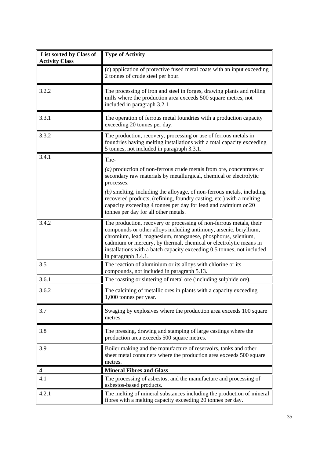| List sorted by Class of<br><b>Activity Class</b> | <b>Type of Activity</b>                                                                                                                                                                                                                                                                                                                                                                                                          |  |
|--------------------------------------------------|----------------------------------------------------------------------------------------------------------------------------------------------------------------------------------------------------------------------------------------------------------------------------------------------------------------------------------------------------------------------------------------------------------------------------------|--|
|                                                  | (c) application of protective fused metal coats with an input exceeding<br>2 tonnes of crude steel per hour.                                                                                                                                                                                                                                                                                                                     |  |
| 3.2.2                                            | The processing of iron and steel in forges, drawing plants and rolling<br>mills where the production area exceeds 500 square metres, not<br>included in paragraph 3.2.1                                                                                                                                                                                                                                                          |  |
| 3.3.1                                            | The operation of ferrous metal foundries with a production capacity<br>exceeding 20 tonnes per day.                                                                                                                                                                                                                                                                                                                              |  |
| 3.3.2                                            | The production, recovery, processing or use of ferrous metals in<br>foundries having melting installations with a total capacity exceeding<br>5 tonnes, not included in paragraph 3.3.1.                                                                                                                                                                                                                                         |  |
| 3.4.1                                            | The-<br>$(a)$ production of non-ferrous crude metals from ore, concentrates or<br>secondary raw materials by metallurgical, chemical or electrolytic<br>processes,<br>$(b)$ smelting, including the alloyage, of non-ferrous metals, including<br>recovered products, (refining, foundry casting, etc.) with a melting<br>capacity exceeding 4 tonnes per day for lead and cadmium or 20<br>tonnes per day for all other metals. |  |
| 3.4.2                                            | The production, recovery or processing of non-ferrous metals, their<br>compounds or other alloys including antimony, arsenic, beryllium,<br>chromium, lead, magnesium, manganese, phosphorus, selenium,<br>cadmium or mercury, by thermal, chemical or electrolytic means in<br>installations with a batch capacity exceeding 0.5 tonnes, not included<br>in paragraph 3.4.1.                                                    |  |
| 3.5                                              | The reaction of aluminium or its alloys with chlorine or its<br>compounds, not included in paragraph 5.13.                                                                                                                                                                                                                                                                                                                       |  |
| 3.6.1                                            | The roasting or sintering of metal ore (including sulphide ore).                                                                                                                                                                                                                                                                                                                                                                 |  |
| 3.6.2                                            | The calcining of metallic ores in plants with a capacity exceeding<br>1,000 tonnes per year.                                                                                                                                                                                                                                                                                                                                     |  |
| 3.7                                              | Swaging by explosives where the production area exceeds 100 square<br>metres.                                                                                                                                                                                                                                                                                                                                                    |  |
| 3.8                                              | The pressing, drawing and stamping of large castings where the<br>production area exceeds 500 square metres.                                                                                                                                                                                                                                                                                                                     |  |
| 3.9                                              | Boiler making and the manufacture of reservoirs, tanks and other<br>sheet metal containers where the production area exceeds 500 square<br>metres.                                                                                                                                                                                                                                                                               |  |
| 4                                                | <b>Mineral Fibres and Glass</b>                                                                                                                                                                                                                                                                                                                                                                                                  |  |
| 4.1                                              | The processing of asbestos, and the manufacture and processing of<br>asbestos-based products.                                                                                                                                                                                                                                                                                                                                    |  |
| 4.2.1                                            | The melting of mineral substances including the production of mineral<br>fibres with a melting capacity exceeding 20 tonnes per day.                                                                                                                                                                                                                                                                                             |  |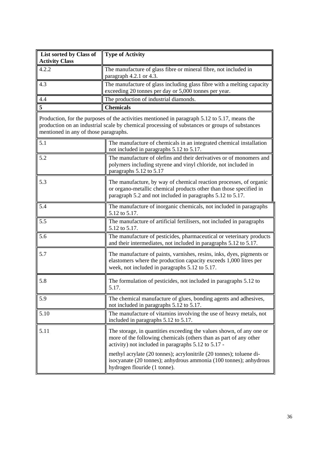| List sorted by Class of<br><b>Activity Class</b> | <b>Type of Activity</b>                                                                                                                                                                                |  |  |
|--------------------------------------------------|--------------------------------------------------------------------------------------------------------------------------------------------------------------------------------------------------------|--|--|
| 4.2.2                                            | The manufacture of glass fibre or mineral fibre, not included in<br>paragraph 4.2.1 or 4.3.                                                                                                            |  |  |
| 4.3                                              | The manufacture of glass including glass fibre with a melting capacity<br>exceeding 20 tonnes per day or 5,000 tonnes per year.                                                                        |  |  |
| 4.4                                              | The production of industrial diamonds.                                                                                                                                                                 |  |  |
| 5                                                | <b>Chemicals</b>                                                                                                                                                                                       |  |  |
| mentioned in any of those paragraphs.            | Production, for the purposes of the activities mentioned in paragraph 5.12 to 5.17, means the<br>production on an industrial scale by chemical processing of substances or groups of substances        |  |  |
| 5.1                                              | The manufacture of chemicals in an integrated chemical installation<br>not included in paragraphs 5.12 to 5.17.                                                                                        |  |  |
| 5.2                                              | The manufacture of olefins and their derivatives or of monomers and<br>polymers including styrene and vinyl chloride, not included in<br>paragraphs 5.12 to 5.17                                       |  |  |
| 5.3                                              | The manufacture, by way of chemical reaction processes, of organic<br>or organo-metallic chemical products other than those specified in<br>paragraph 5.2 and not included in paragraphs 5.12 to 5.17. |  |  |
| 5.4                                              | The manufacture of inorganic chemicals, not included in paragraphs<br>5.12 to 5.17.                                                                                                                    |  |  |
| 5.5                                              | The manufacture of artificial fertilisers, not included in paragraphs<br>5.12 to 5.17.                                                                                                                 |  |  |
| 5.6                                              | The manufacture of pesticides, pharmaceutical or veterinary products<br>and their intermediates, not included in paragraphs 5.12 to 5.17.                                                              |  |  |
| 5.7                                              | The manufacture of paints, varnishes, resins, inks, dyes, pigments or<br>elastomers where the production capacity exceeds 1,000 litres per<br>week, not included in paragraphs 5.12 to 5.17.           |  |  |
| 5.8                                              | The formulation of pesticides, not included in paragraphs 5.12 to<br>5.17.                                                                                                                             |  |  |
| 5.9                                              | The chemical manufacture of glues, bonding agents and adhesives,<br>not included in paragraphs 5.12 to 5.17.                                                                                           |  |  |
| 5.10                                             | The manufacture of vitamins involving the use of heavy metals, not<br>included in paragraphs 5.12 to 5.17.                                                                                             |  |  |
| 5.11                                             | The storage, in quantities exceeding the values shown, of any one or<br>more of the following chemicals (others than as part of any other<br>activity) not included in paragraphs 5.12 to 5.17 -       |  |  |
|                                                  | methyl acrylate (20 tonnes); acrylonitrile (20 tonnes); toluene di-<br>isocyanate (20 tonnes); anhydrous ammonia (100 tonnes); anhydrous<br>hydrogen flouride (1 tonne).                               |  |  |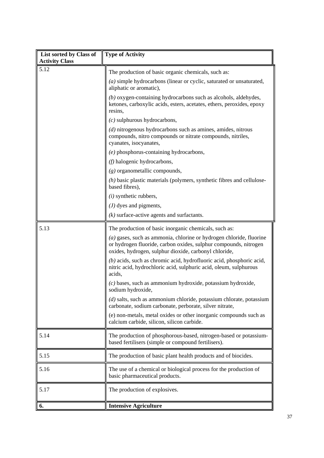| List sorted by Class of<br><b>Activity Class</b> | <b>Type of Activity</b>                                                                                                                                                                            |  |
|--------------------------------------------------|----------------------------------------------------------------------------------------------------------------------------------------------------------------------------------------------------|--|
| 5.12                                             | The production of basic organic chemicals, such as:                                                                                                                                                |  |
|                                                  | $(a)$ simple hydrocarbons (linear or cyclic, saturated or unsaturated,<br>aliphatic or aromatic),                                                                                                  |  |
|                                                  | $(b)$ oxygen-containing hydrocarbons such as alcohols, aldehydes,<br>ketones, carboxylic acids, esters, acetates, ethers, peroxides, epoxy<br>resins,                                              |  |
|                                                  | $(c)$ sulphurous hydrocarbons,                                                                                                                                                                     |  |
|                                                  | $(d)$ nitrogenous hydrocarbons such as amines, amides, nitrous<br>compounds, nitro compounds or nitrate compounds, nitriles,<br>cyanates, isocyanates,                                             |  |
|                                                  | $(e)$ phosphorus-containing hydrocarbons,                                                                                                                                                          |  |
|                                                  | $(f)$ halogenic hydrocarbons,                                                                                                                                                                      |  |
|                                                  | $(g)$ organometallic compounds,                                                                                                                                                                    |  |
|                                                  | $(h)$ basic plastic materials (polymers, synthetic fibres and cellulose-<br>based fibres),                                                                                                         |  |
|                                                  | $(i)$ synthetic rubbers,                                                                                                                                                                           |  |
|                                                  | $(J)$ dyes and pigments,                                                                                                                                                                           |  |
|                                                  | $(k)$ surface-active agents and surfactants.                                                                                                                                                       |  |
| 5.13                                             | The production of basic inorganic chemicals, such as:                                                                                                                                              |  |
|                                                  | $(a)$ gases, such as ammonia, chlorine or hydrogen chloride, fluorine<br>or hydrogen fluoride, carbon oxides, sulphur compounds, nitrogen<br>oxides, hydrogen, sulphur dioxide, carbonyl chloride, |  |
|                                                  | $(b)$ acids, such as chromic acid, hydrofluoric acid, phosphoric acid,<br>nitric acid, hydrochloric acid, sulphuric acid, oleum, sulphurous<br>acids,                                              |  |
|                                                  | $(c)$ bases, such as ammonium hydroxide, potassium hydroxide,<br>sodium hydroxide,                                                                                                                 |  |
|                                                  | $(d)$ salts, such as ammonium chloride, potassium chlorate, potassium<br>carbonate, sodium carbonate, perborate, silver nitrate,                                                                   |  |
|                                                  | (e) non-metals, metal oxides or other inorganic compounds such as<br>calcium carbide, silicon, silicon carbide.                                                                                    |  |
| 5.14                                             | The production of phosphorous-based, nitrogen-based or potassium-<br>based fertilisers (simple or compound fertilisers).                                                                           |  |
| 5.15                                             | The production of basic plant health products and of biocides.                                                                                                                                     |  |
| 5.16                                             | The use of a chemical or biological process for the production of<br>basic pharmaceutical products.                                                                                                |  |
| 5.17                                             | The production of explosives.                                                                                                                                                                      |  |
| 6.                                               | <b>Intensive Agriculture</b>                                                                                                                                                                       |  |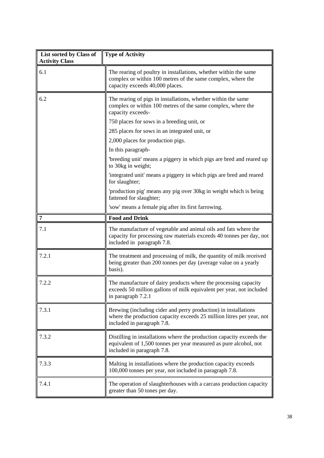| List sorted by Class of<br><b>Activity Class</b> | <b>Type of Activity</b>                                                                                                                                                  |  |
|--------------------------------------------------|--------------------------------------------------------------------------------------------------------------------------------------------------------------------------|--|
| 6.1                                              | The rearing of poultry in installations, whether within the same<br>complex or within 100 metres of the same complex, where the<br>capacity exceeds 40,000 places.       |  |
| 6.2                                              | The rearing of pigs in installations, whether within the same<br>complex or within 100 metres of the same complex, where the<br>capacity exceeds-                        |  |
|                                                  | 750 places for sows in a breeding unit, or                                                                                                                               |  |
|                                                  | 285 places for sows in an integrated unit, or                                                                                                                            |  |
|                                                  | 2,000 places for production pigs.                                                                                                                                        |  |
|                                                  | In this paragraph-                                                                                                                                                       |  |
|                                                  | 'breeding unit' means a piggery in which pigs are bred and reared up<br>to 30kg in weight;                                                                               |  |
|                                                  | 'integrated unit' means a piggery in which pigs are bred and reared<br>for slaughter;                                                                                    |  |
|                                                  | 'production pig' means any pig over 30kg in weight which is being<br>fattened for slaughter;                                                                             |  |
|                                                  | 'sow' means a female pig after its first farrowing.                                                                                                                      |  |
| $\overline{7}$                                   | <b>Food and Drink</b>                                                                                                                                                    |  |
| 7.1                                              | The manufacture of vegetable and animal oils and fats where the<br>capacity for processing raw materials exceeds 40 tonnes per day, not<br>included in paragraph 7.8.    |  |
| 7.2.1                                            | The treatment and processing of milk, the quantity of milk received<br>being greater than 200 tonnes per day (average value on a yearly<br>basis).                       |  |
| 7.2.2                                            | The manufacture of dairy products where the processing capacity<br>exceeds 50 million gallons of milk equivalent per year, not included<br>in paragraph 7.2.1            |  |
| 7.3.1                                            | Brewing (including cider and perry production) in installations<br>where the production capacity exceeds 25 million litres per year, not<br>included in paragraph 7.8.   |  |
| 7.3.2                                            | Distilling in installations where the production capacity exceeds the<br>equivalent of 1,500 tonnes per year measured as pure alcohol, not<br>included in paragraph 7.8. |  |
| 7.3.3                                            | Malting in installations where the production capacity exceeds<br>100,000 tonnes per year, not included in paragraph 7.8.                                                |  |
| 7.4.1                                            | The operation of slaughterhouses with a carcass production capacity<br>greater than 50 tones per day.                                                                    |  |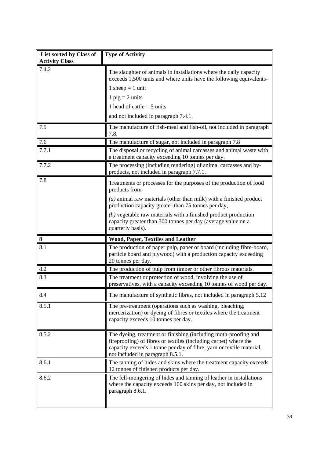| List sorted by Class of<br><b>Activity Class</b> | <b>Type of Activity</b>                                                                                                                                                                                                                         |  |
|--------------------------------------------------|-------------------------------------------------------------------------------------------------------------------------------------------------------------------------------------------------------------------------------------------------|--|
| 7.4.2                                            | The slaughter of animals in installations where the daily capacity<br>exceeds 1,500 units and where units have the following equivalents-                                                                                                       |  |
|                                                  | 1 sheep $=$ 1 unit                                                                                                                                                                                                                              |  |
|                                                  | 1 $\pi$ pig = 2 units                                                                                                                                                                                                                           |  |
|                                                  | 1 head of cattle $=$ 5 units                                                                                                                                                                                                                    |  |
|                                                  | and not included in paragraph 7.4.1.                                                                                                                                                                                                            |  |
| 7.5                                              | The manufacture of fish-meal and fish-oil, not included in paragraph<br>7.8.                                                                                                                                                                    |  |
| 7.6                                              | The manufacture of sugar, not included in paragraph 7.8                                                                                                                                                                                         |  |
| 7.7.1                                            | The disposal or recycling of animal carcasses and animal waste with<br>a treatment capacity exceeding 10 tonnes per day.                                                                                                                        |  |
| 7.7.2                                            | The processing (including rendering) of animal carcasses and by-<br>products, not included in paragraph 7.7.1.                                                                                                                                  |  |
| 7.8                                              | Treatments or processes for the purposes of the production of food<br>products from-                                                                                                                                                            |  |
|                                                  | $(a)$ animal raw materials (other than milk) with a finished product<br>production capacity greater than 75 tonnes per day,                                                                                                                     |  |
|                                                  | $(b)$ vegetable raw materials with a finished product production<br>capacity greater than 300 tonnes per day (average value on a<br>quarterly basis).                                                                                           |  |
| 8                                                | <b>Wood, Paper, Textiles and Leather</b>                                                                                                                                                                                                        |  |
| 8.1                                              | The production of paper pulp, paper or board (including fibre-board,<br>particle board and plywood) with a production capacity exceeding<br>20 tonnes per day.                                                                                  |  |
| 8.2                                              | The production of pulp from timber or other fibrous materials.                                                                                                                                                                                  |  |
| 8.3                                              | The treatment or protection of wood, involving the use of<br>preservatives, with a capacity exceeding 10 tonnes of wood per day.                                                                                                                |  |
| 8.4                                              | The manufacture of synthetic fibres, not included in paragraph 5.12                                                                                                                                                                             |  |
| 8.5.1                                            | The pre-treatment (operations such as washing, bleaching,<br>mercerization) or dyeing of fibres or textiles where the treatment<br>capacity exceeds 10 tonnes per day.                                                                          |  |
| 8.5.2                                            | The dyeing, treatment or finishing (including moth-proofing and<br>fireproofing) of fibres or textiles (including carpet) where the<br>capacity exceeds 1 tonne per day of fibre, yarn or textile material,<br>not included in paragraph 8.5.1. |  |
| 8.6.1                                            | The tanning of hides and skins where the treatment capacity exceeds<br>12 tonnes of finished products per day.                                                                                                                                  |  |
| 8.6.2                                            | The fell-mongering of hides and tanning of leather in installations<br>where the capacity exceeds 100 skins per day, not included in<br>paragraph 8.6.1.                                                                                        |  |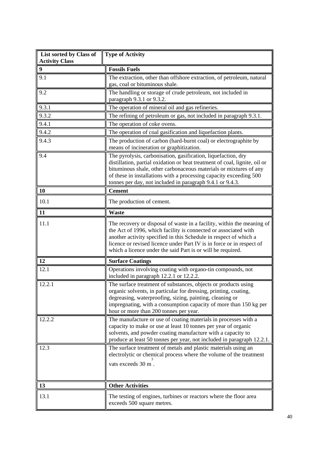| List sorted by Class of<br><b>Activity Class</b> | <b>Type of Activity</b>                                                                                                                                                                                                                                                                                                                                |  |
|--------------------------------------------------|--------------------------------------------------------------------------------------------------------------------------------------------------------------------------------------------------------------------------------------------------------------------------------------------------------------------------------------------------------|--|
| $\boldsymbol{9}$                                 | <b>Fossils Fuels</b>                                                                                                                                                                                                                                                                                                                                   |  |
| 9.1                                              | The extraction, other than offshore extraction, of petroleum, natural<br>gas, coal or bituminous shale.                                                                                                                                                                                                                                                |  |
| 9.2                                              | The handling or storage of crude petroleum, not included in<br>paragraph 9.3.1 or 9.3.2.                                                                                                                                                                                                                                                               |  |
| 9.3.1                                            | The operation of mineral oil and gas refineries.                                                                                                                                                                                                                                                                                                       |  |
| 9.3.2                                            | The refining of petroleum or gas, not included in paragraph 9.3.1.                                                                                                                                                                                                                                                                                     |  |
| 9.4.1                                            | The operation of coke ovens.                                                                                                                                                                                                                                                                                                                           |  |
| 9.4.2                                            | The operation of coal gasification and liquefaction plants.                                                                                                                                                                                                                                                                                            |  |
| 9.4.3                                            | The production of carbon (hard-burnt coal) or electrographite by<br>means of incineration or graphitization.                                                                                                                                                                                                                                           |  |
| 9.4                                              | The pyrolysis, carbonisation, gasification, liquefaction, dry<br>distillation, partial oxidation or heat treatment of coal, lignite, oil or<br>bituminous shale, other carbonaceous materials or mixtures of any<br>of these in installations with a processing capacity exceeding 500<br>tonnes per day, not included in paragraph 9.4.1 or 9.4.3.    |  |
| 10                                               | <b>Cement</b>                                                                                                                                                                                                                                                                                                                                          |  |
| 10.1                                             | The production of cement.                                                                                                                                                                                                                                                                                                                              |  |
| 11                                               | <b>Waste</b>                                                                                                                                                                                                                                                                                                                                           |  |
| 11.1                                             | The recovery or disposal of waste in a facility, within the meaning of<br>the Act of 1996, which facility is connected or associated with<br>another activity specified in this Schedule in respect of which a<br>licence or revised licence under Part IV is in force or in respect of<br>which a licence under the said Part is or will be required. |  |
| 12                                               | <b>Surface Coatings</b>                                                                                                                                                                                                                                                                                                                                |  |
| 12.1                                             | Operations involving coating with organo-tin compounds, not<br>included in paragraph 12.2.1 or 12.2.2.                                                                                                                                                                                                                                                 |  |
| 12.2.1                                           | The surface treatment of substances, objects or products using<br>organic solvents, in particular for dressing, printing, coating,<br>degreasing, waterproofing, sizing, painting, cleaning or<br>impregnating, with a consumption capacity of more than 150 kg per<br>hour or more than 200 tonnes per year.                                          |  |
| 12.2.2                                           | The manufacture or use of coating materials in processes with a<br>capacity to make or use at least 10 tonnes per year of organic<br>solvents, and powder coating manufacture with a capacity to<br>produce at least 50 tonnes per year, not included in paragraph 12.2.1.                                                                             |  |
| 12.3                                             | The surface treatment of metals and plastic materials using an<br>electrolytic or chemical process where the volume of the treatment<br>vats exceeds 30 m.                                                                                                                                                                                             |  |
| 13                                               | <b>Other Activities</b>                                                                                                                                                                                                                                                                                                                                |  |
| 13.1                                             | The testing of engines, turbines or reactors where the floor area<br>exceeds 500 square metres.                                                                                                                                                                                                                                                        |  |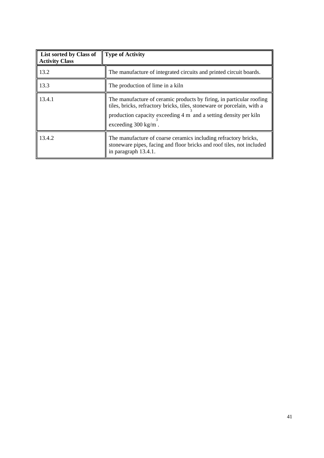| List sorted by Class of<br><b>Activity Class</b> | Type of Activity                                                                                                                                                                                                                                      |  |
|--------------------------------------------------|-------------------------------------------------------------------------------------------------------------------------------------------------------------------------------------------------------------------------------------------------------|--|
| 13.2                                             | The manufacture of integrated circuits and printed circuit boards.                                                                                                                                                                                    |  |
| 13.3                                             | The production of lime in a kiln                                                                                                                                                                                                                      |  |
| 13.4.1                                           | The manufacture of ceramic products by firing, in particular roofing<br>tiles, bricks, refractory bricks, tiles, stoneware or porcelain, with a<br>production capacity exceeding 4 m and a setting density per kiln<br>exceeding $300 \text{ kg/m}$ . |  |
| 13.4.2                                           | The manufacture of coarse ceramics including refractory bricks,<br>stoneware pipes, facing and floor bricks and roof tiles, not included<br>in paragraph 13.4.1.                                                                                      |  |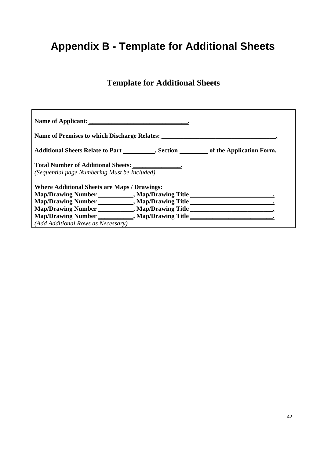# **Appendix B - Template for Additional Sheets**

# **Template for Additional Sheets**

| Name of Applicant:                                                                            |  |  |  |
|-----------------------------------------------------------------------------------------------|--|--|--|
| Name of Premises to which Discharge Relates:                                                  |  |  |  |
| Additional Sheets Relate to Part __________, Section __________ of the Application Form.      |  |  |  |
| Total Number of Additional Sheets: 1986 1997<br>(Sequential page Numbering Must be Included). |  |  |  |
| <b>Where Additional Sheets are Maps / Drawings:</b>                                           |  |  |  |
| Map/Drawing Number ___________, Map/Drawing Title ______________________________              |  |  |  |
| Map/Drawing Number ___________, Map/Drawing Title _______________________________             |  |  |  |
| Map/Drawing Number ___________, Map/Drawing Title _______________________________             |  |  |  |
| Map/Drawing Number ___________, Map/Drawing Title                                             |  |  |  |
| (Add Additional Rows as Necessary)                                                            |  |  |  |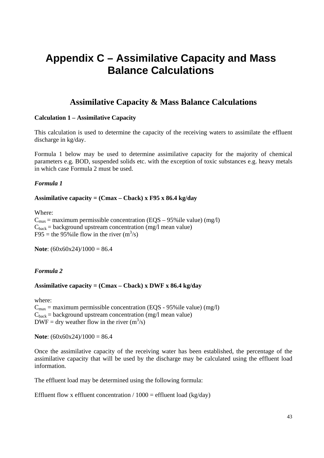# **Appendix C – Assimilative Capacity and Mass Balance Calculations**

# **Assimilative Capacity & Mass Balance Calculations**

#### **Calculation 1 – Assimilative Capacity**

This calculation is used to determine the capacity of the receiving waters to assimilate the effluent discharge in kg/day.

Formula 1 below may be used to determine assimilative capacity for the majority of chemical parameters e.g. BOD, suspended solids etc. with the exception of toxic substances e.g. heavy metals in which case Formula 2 must be used.

#### *Formula 1*

#### **Assimilative capacity = (Cmax – Cback) x F95 x 86.4 kg/day**

Where:

 $C_{\text{max}}$  = maximum permissible concentration (EQS – 95% ile value) (mg/l)  $C_{\text{back}}$  = background upstream concentration (mg/l mean value) F95 = the 95% ile flow in the river  $(m^3/s)$ 

**Note**: (60x60x24)/1000 = 86.4

# *Formula 2*

#### **Assimilative capacity = (Cmax – Cback) x DWF x 86.4 kg/day**

where:  $C_{\text{max}}$  = maximum permissible concentration (EQS - 95% ile value) (mg/l)  $C_{\text{back}}$  = background upstream concentration (mg/l mean value)  $DWF = dry$  weather flow in the river  $(m<sup>3</sup>/s)$ 

**Note**:  $(60x60x24)/1000 = 86.4$ 

Once the assimilative capacity of the receiving water has been established, the percentage of the assimilative capacity that will be used by the discharge may be calculated using the effluent load information.

The effluent load may be determined using the following formula:

Effluent flow x effluent concentration  $/ 1000 =$  effluent load (kg/day)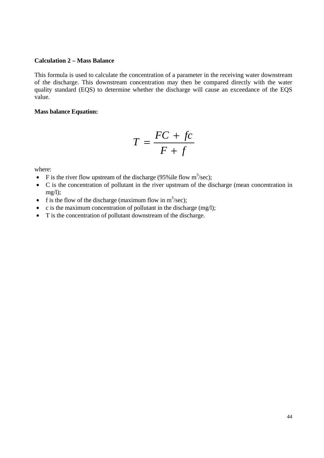#### **Calculation 2 – Mass Balance**

This formula is used to calculate the concentration of a parameter in the receiving water downstream of the discharge. This downstream concentration may then be compared directly with the water quality standard (EQS) to determine whether the discharge will cause an exceedance of the EQS value.

#### **Mass balance Equation:**

$$
T = \frac{FC + fc}{F + f}
$$

where:

- F is the river flow upstream of the discharge (95% ile flow  $m^3$ /sec);
- C is the concentration of pollutant in the river upstream of the discharge (mean concentration in  $mg/l$ );
- f is the flow of the discharge (maximum flow in  $m^3$ /sec);
- c is the maximum concentration of pollutant in the discharge  $(mg/1);$
- T is the concentration of pollutant downstream of the discharge.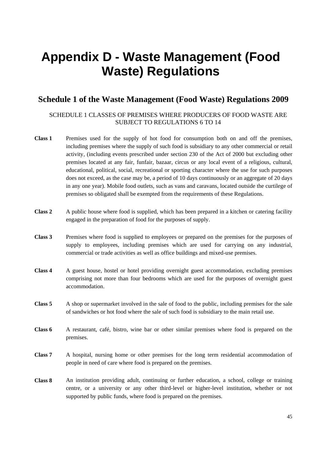# **Appendix D - Waste Management (Food Waste) Regulations**

# **Schedule 1 of the Waste Management (Food Waste) Regulations 2009**

#### SCHEDULE 1 CLASSES OF PREMISES WHERE PRODUCERS OF FOOD WASTE ARE SUBJECT TO REGULATIONS 6 TO 14

- Class 1 Premises used for the supply of hot food for consumption both on and off the premises, including premises where the supply of such food is subsidiary to any other commercial or retail activity, (including events prescribed under section 230 of the Act of 2000 but excluding other premises located at any fair, funfair, bazaar, circus or any local event of a religious, cultural, educational, political, social, recreational or sporting character where the use for such purposes does not exceed, as the case may be, a period of 10 days continuously or an aggregate of 20 days in any one year). Mobile food outlets, such as vans and caravans, located outside the curtilege of premises so obligated shall be exempted from the requirements of these Regulations.
- **Class 2** A public house where food is supplied, which has been prepared in a kitchen or catering facility engaged in the preparation of food for the purposes of supply.
- **Class 3** Premises where food is supplied to employees or prepared on the premises for the purposes of supply to employees, including premises which are used for carrying on any industrial, commercial or trade activities as well as office buildings and mixed-use premises.
- **Class 4** A guest house, hostel or hotel providing overnight guest accommodation, excluding premises comprising not more than four bedrooms which are used for the purposes of overnight guest accommodation.
- **Class 5** A shop or supermarket involved in the sale of food to the public, including premises for the sale of sandwiches or hot food where the sale of such food is subsidiary to the main retail use.
- **Class 6** A restaurant, café, bistro, wine bar or other similar premises where food is prepared on the premises.
- **Class 7** A hospital, nursing home or other premises for the long term residential accommodation of people in need of care where food is prepared on the premises.
- **Class 8** An institution providing adult, continuing or further education, a school, college or training centre, or a university or any other third-level or higher-level institution, whether or not supported by public funds, where food is prepared on the premises.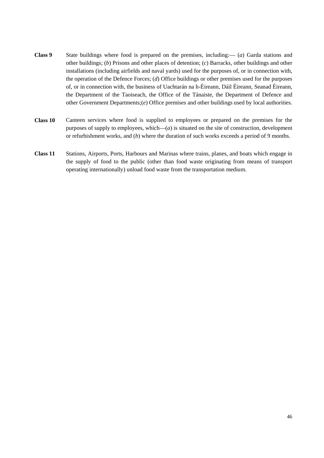- **Class 9** State buildings where food is prepared on the premises, including:— (*a*) Garda stations and other buildings; (*b*) Prisons and other places of detention; (*c*) Barracks, other buildings and other installations (including airfields and naval yards) used for the purposes of, or in connection with, the operation of the Defence Forces; (*d*) Office buildings or other premises used for the purposes of, or in connection with, the business of Uachtarán na h-Éireann, Dáil Éireann, Seanad Éireann, the Department of the Taoiseach, the Office of the Tánaiste, the Department of Defence and other Government Departments;(*e*) Office premises and other buildings used by local authorities.
- **Class 10** Canteen services where food is supplied to employees or prepared on the premises for the purposes of supply to employees, which—(*a*) is situated on the site of construction, development or refurbishment works, and (*b*) where the duration of such works exceeds a period of 9 months.
- **Class 11** Stations, Airports, Ports, Harbours and Marinas where trains, planes, and boats which engage in the supply of food to the public (other than food waste originating from means of transport operating internationally) unload food waste from the transportation medium.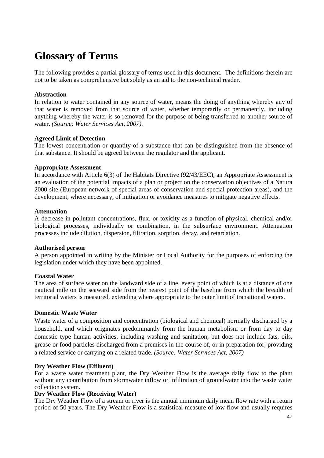# **Glossary of Terms**

The following provides a partial glossary of terms used in this document. The definitions therein are not to be taken as comprehensive but solely as an aid to the non-technical reader.

### **Abstraction**

In relation to water contained in any source of water, means the doing of anything whereby any of that water is removed from that source of water, whether temporarily or permanently, including anything whereby the water is so removed for the purpose of being transferred to another source of water. *(Source: Water Services Act, 2007).* 

#### **Agreed Limit of Detection**

The lowest concentration or quantity of a substance that can be distinguished from the absence of that substance. It should be agreed between the regulator and the applicant.

#### **Appropriate Assessment**

In accordance with Article 6(3) of the Habitats Directive (92/43/EEC), an Appropriate Assessment is an evaluation of the potential impacts of a plan or project on the conservation objectives of a Natura 2000 site (European network of special areas of conservation and special protection areas), and the development, where necessary, of mitigation or avoidance measures to mitigate negative effects.

#### **Attenuation**

A decrease in pollutant concentrations, flux, or toxicity as a function of physical, chemical and/or biological processes, individually or combination, in the subsurface environment. Attenuation processes include dilution, dispersion, filtration, sorption, decay, and retardation.

#### **Authorised person**

A person appointed in writing by the Minister or Local Authority for the purposes of enforcing the legislation under which they have been appointed.

#### **Coastal Water**

The area of surface water on the landward side of a line, every point of which is at a distance of one nautical mile on the seaward side from the nearest point of the baseline from which the breadth of territorial waters is measured, extending where appropriate to the outer limit of transitional waters.

#### **Domestic Waste Water**

Waste water of a composition and concentration (biological and chemical) normally discharged by a household, and which originates predominantly from the human metabolism or from day to day domestic type human activities, including washing and sanitation, but does not include fats, oils, grease or food particles discharged from a premises in the course of, or in preparation for, providing a related service or carrying on a related trade. *(Source: Water Services Act, 2007)*

#### **Dry Weather Flow (Effluent)**

For a waste water treatment plant, the Dry Weather Flow is the average daily flow to the plant without any contribution from stormwater inflow or infiltration of groundwater into the waste water collection system.

#### **Dry Weather Flow (Receiving Water)**

The Dry Weather Flow of a stream or river is the annual minimum daily mean flow rate with a return period of 50 years. The Dry Weather Flow is a statistical measure of low flow and usually requires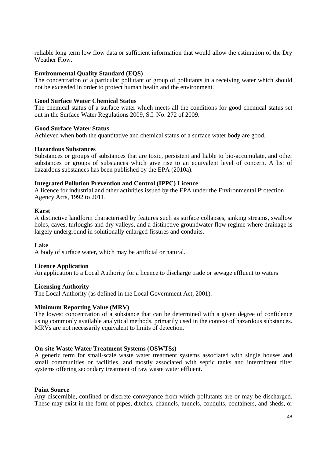reliable long term low flow data or sufficient information that would allow the estimation of the Dry Weather Flow.

#### **Environmental Quality Standard (EQS)**

The concentration of a particular pollutant or group of pollutants in a receiving water which should not be exceeded in order to protect human health and the environment.

#### **Good Surface Water Chemical Status**

The chemical status of a surface water which meets all the conditions for good chemical status set out in the Surface Water Regulations 2009, S.I. No. 272 of 2009.

#### **Good Surface Water Status**

Achieved when both the quantitative and chemical status of a surface water body are good.

#### **Hazardous Substances**

Substances or groups of substances that are toxic, persistent and liable to bio-accumulate, and other substances or groups of substances which give rise to an equivalent level of concern. A list of hazardous substances has been published by the EPA (2010a).

#### **Integrated Pollution Prevention and Control (IPPC) Licence**

A licence for industrial and other activities issued by the EPA under the Environmental Protection Agency Acts, 1992 to 2011.

#### **Karst**

A distinctive landform characterised by features such as surface collapses, sinking streams, swallow holes, caves, turloughs and dry valleys, and a distinctive groundwater flow regime where drainage is largely underground in solutionally enlarged fissures and conduits.

#### **Lake**

A body of surface water, which may be artificial or natural.

#### **Licence Application**

An application to a Local Authority for a licence to discharge trade or sewage effluent to waters

#### **Licensing Authority**

The Local Authority (as defined in the Local Government Act, 2001).

#### **Minimum Reporting Value (MRV)**

The lowest concentration of a substance that can be determined with a given degree of confidence using commonly available analytical methods, primarily used in the context of hazardous substances. MRVs are not necessarily equivalent to limits of detection.

#### **On-site Waste Water Treatment Systems (OSWTSs)**

A generic term for small-scale waste water treatment systems associated with single houses and small communities or facilities, and mostly associated with septic tanks and intermittent filter systems offering secondary treatment of raw waste water effluent.

#### **Point Source**

Any discernible, confined or discrete conveyance from which pollutants are or may be discharged. These may exist in the form of pipes, ditches, channels, tunnels, conduits, containers, and sheds, or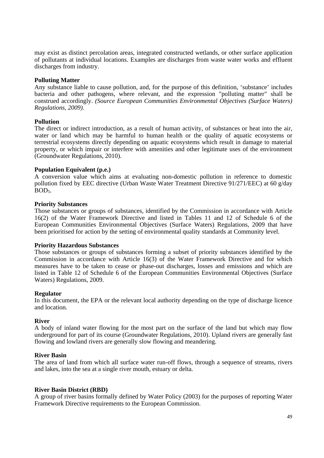may exist as distinct percolation areas, integrated constructed wetlands, or other surface application of pollutants at individual locations. Examples are discharges from waste water works and effluent discharges from industry.

#### **Polluting Matter**

Any substance liable to cause pollution, and, for the purpose of this definition, 'substance' includes bacteria and other pathogens, where relevant, and the expression "polluting matter" shall be construed accordingly. *(Source European Communities Environmental Objectives (Surface Waters) Regulations, 2009).*

#### **Pollution**

The direct or indirect introduction, as a result of human activity, of substances or heat into the air, water or land which may be harmful to human health or the quality of aquatic ecosystems or terrestrial ecosystems directly depending on aquatic ecosystems which result in damage to material property, or which impair or interfere with amenities and other legitimate uses of the environment (Groundwater Regulations, 2010).

#### **Population Equivalent (p.e.)**

A conversion value which aims at evaluating non-domestic pollution in reference to domestic pollution fixed by EEC directive (Urban Waste Water Treatment Directive 91/271/EEC) at 60 g/day BOD<sub>5</sub>.

#### **Priority Substances**

Those substances or groups of substances, identified by the Commission in accordance with Article 16(2) of the Water Framework Directive and listed in Tables 11 and 12 of Schedule 6 of the European Communities Environmental Objectives (Surface Waters) Regulations, 2009 that have been prioritised for action by the setting of environmental quality standards at Community level.

#### **Priority Hazardous Substances**

Those substances or groups of substances forming a subset of priority substances identified by the Commission in accordance with Article 16(3) of the Water Framework Directive and for which measures have to be taken to cease or phase-out discharges, losses and emissions and which are listed in Table 12 of Schedule 6 of the European Communities Environmental Objectives (Surface Waters) Regulations, 2009.

#### **Regulator**

In this document, the EPA or the relevant local authority depending on the type of discharge licence and location.

#### **River**

A body of inland water flowing for the most part on the surface of the land but which may flow underground for part of its course (Groundwater Regulations, 2010). Upland rivers are generally fast flowing and lowland rivers are generally slow flowing and meandering.

#### **River Basin**

The area of land from which all surface water run-off flows, through a sequence of streams, rivers and lakes, into the sea at a single river mouth, estuary or delta.

#### **River Basin District (RBD)**

A group of river basins formally defined by Water Policy (2003) for the purposes of reporting Water Framework Directive requirements to the European Commission.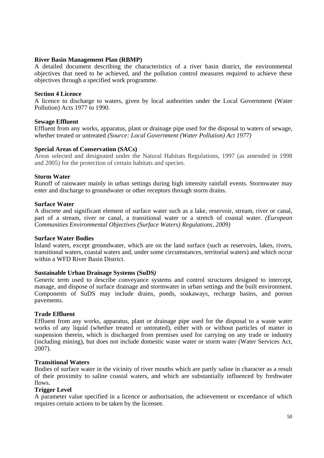#### **River Basin Management Plan (RBMP)**

A detailed document describing the characteristics of a river basin district, the environmental objectives that need to be achieved, and the pollution control measures required to achieve these objectives through a specified work programme.

#### **Section 4 Licence**

A licence to discharge to waters, given by local authorities under the Local Government (Water Pollution) Acts 1977 to 1990.

#### **Sewage Effluent**

Effluent from any works, apparatus, plant or drainage pipe used for the disposal to waters of sewage, whether treated or untreated *(Source: Local Government (Water Pollution) Act 1977)* 

#### **Special Areas of Conservation (SACs)**

Areas selected and designated under the Natural Habitats Regulations, 1997 (as amended in 1998 and 2005) for the protection of certain habitats and species.

#### **Storm Water**

Runoff of rainwater mainly in urban settings during high intensity rainfall events. Stormwater may enter and discharge to groundwater or other receptors through storm drains.

#### **Surface Water**

A discrete and significant element of surface water such as a lake, reservoir, stream, river or canal, part of a stream, river or canal, a transitional water or a stretch of coastal water. *(European Communities Environmental Objectives (Surface Waters) Regulations, 2009)*

#### **Surface Water Bodies**

Inland waters, except groundwater, which are on the land surface (such as reservoirs, lakes, rivers, transitional waters, coastal waters and, under some circumstances, territorial waters) and which occur within a WFD River Basin District.

#### **Sustainable Urban Drainage Systems (SuDS***)*

Generic term used to describe conveyance systems and control structures designed to intercept, manage, and dispose of surface drainage and stormwater in urban settings and the built environment. Components of SuDS may include drains, ponds, soakaways, recharge basins, and porous pavements.

#### **Trade Effluent**

Effluent from any works, apparatus, plant or drainage pipe used for the disposal to a waste water works of any liquid (whether treated or untreated), either with or without particles of matter in suspension therein, which is discharged from premises used for carrying on any trade or industry (including mining), but does not include domestic waste water or storm water (Water Services Act, 2007).

#### **Transitional Waters**

Bodies of surface water in the vicinity of river mouths which are partly saline in character as a result of their proximity to saline coastal waters, and which are substantially influenced by freshwater flows.

#### **Trigger Level**

A parameter value specified in a licence or authorisation, the achievement or exceedance of which requires certain actions to be taken by the licensee.